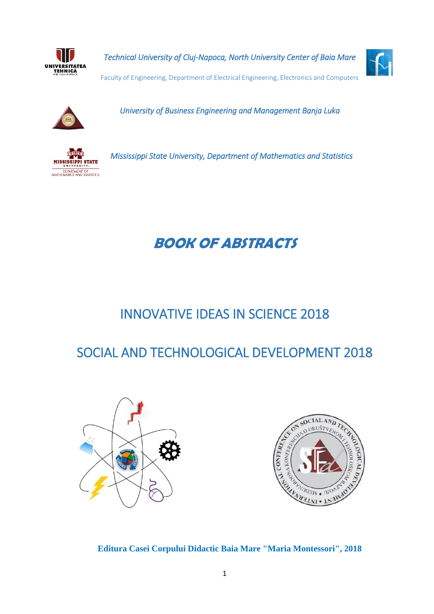

*Technical University of Cluj-Napoca, North University Center of Baia Mare* 



Faculty of Engineering, Department of Electrical Engineering, Electronics and Computers



*University of Business Engineering and Management Banja Luka* 



*Mississippi State University, Department of Mathematics and Statistics* 

# **BOOK OF ABSTRACTS**

# INNOVATIVE IDEAS IN SCIENCE 2018

# SOCIAL AND TECHNOLOGICAL DEVELOPMENT 2018





**Editura Casei Corpului Didactic Baia Mare "Maria Montessori", 2018**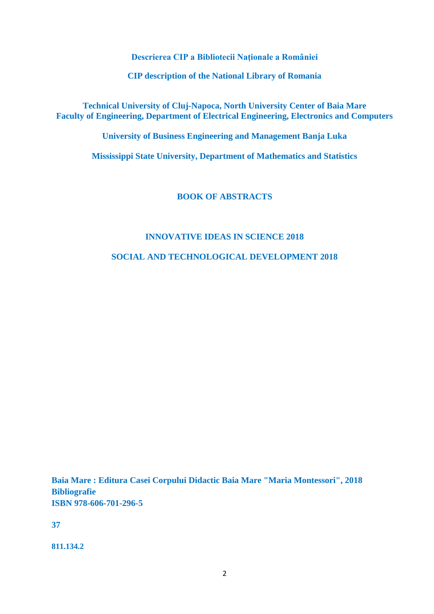**Descrierea CIP a Bibliotecii Naţionale a României**

**CIP description of the National Library of Romania**

**Technical University of Cluj-Napoca, North University Center of Baia Mare Faculty of Engineering, Department of Electrical Engineering, Electronics and Computers**

**University of Business Engineering and Management Banja Luka**

**Mississippi State University, Department of Mathematics and Statistics**

# **BOOK OF ABSTRACTS**

## **INNOVATIVE IDEAS IN SCIENCE 2018**

**SOCIAL AND TECHNOLOGICAL DEVELOPMENT 2018**

**Baia Mare : Editura Casei Corpului Didactic Baia Mare "Maria Montessori", 2018 Bibliografie ISBN 978-606-701-296-5**

**37**

**811.134.2**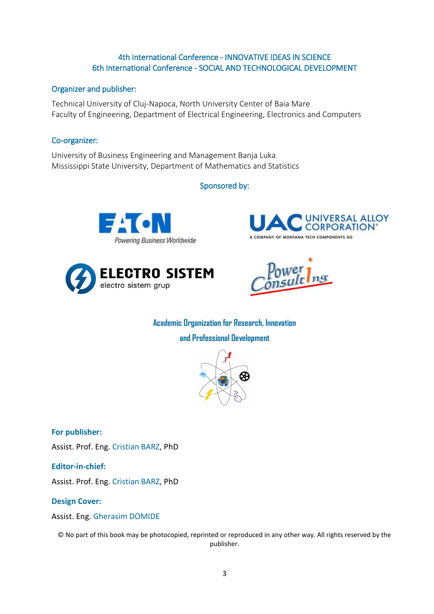## 4th International Conference - INNOVATIVE IDEAS IN SCIENCE 6th International Conference - SOCIAL AND TECHNOLOGICAL DEVELOPMENT

## Organizer and publisher:

Technical University of Cluj-Napoca, North University Center of Baia Mare Faculty of Engineering, Department of Electrical Engineering, Electronics and Computers

## Co-organizer:

University of Business Engineering and Management Banja Luka Mississippi State University, Department of Mathematics and Statistics

# Sponsored by:









**Academic Organization for Research, Innovation** 

**and Professional Development**



**For publisher:** 

Assist. Prof. Eng. [Cristian BARZ,](javascript:openRTWindow() PhD

**Editor-in-chief:** 

Assist. Prof. Eng. [Cristian BARZ,](javascript:openRTWindow() PhD

### **Design Cover:**

Assist. Eng. [Gherasim](javascript:openRTWindow() DOMIDE

© No part of this book may be photocopied, reprinted or reproduced in any other way. All rights reserved by the publisher.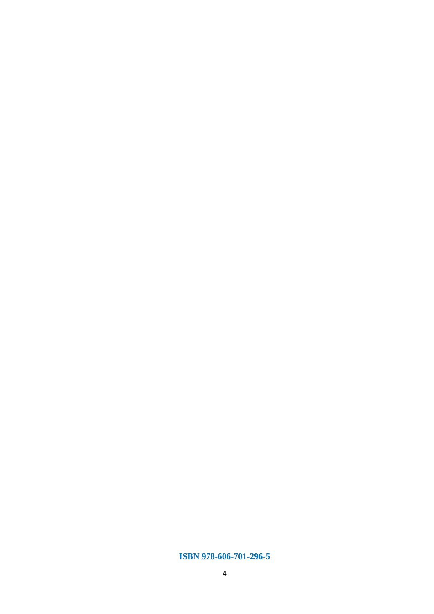### **ISBN 978-606-701-296-5**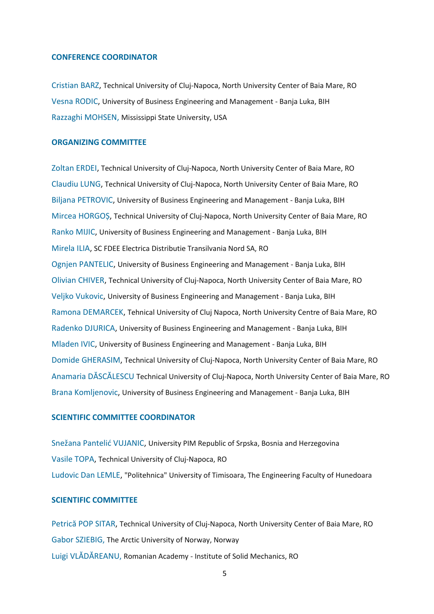#### **CONFERENCE COORDINATOR**

[Cristian BARZ,](javascript:openRTWindow() Technical University of Cluj-Napoca, North University Center of Baia Mare, RO [Vesna RODIC,](javascript:openRTWindow() University of Business Engineering and Management - Banja Luka, BIH Razzaghi MOHSEN, Mississippi State University, USA

## **ORGANIZING COMMITTEE**

[Zoltan ERDEI,](javascript:openRTWindow() Technical University of Cluj-Napoca, North University Center of Baia Mare, RO [Claudiu LUNG,](javascript:openRTWindow() Technical University of Cluj-Napoca, North University Center of Baia Mare, RO [Biljana PETROVIC,](javascript:openRTWindow() University of Business Engineering and Management - Banja Luka, BIH [Mircea HORGOȘ](javascript:openRTWindow(), Technical University of Cluj-Napoca, North University Center of Baia Mare, RO [Ranko MIJIC,](javascript:openRTWindow() University of Business Engineering and Management - Banja Luka, BIH [Mirela ILIA,](javascript:openRTWindow() SC FDEE Electrica Distributie Transilvania Nord SA, RO [Ognjen PANTELIC,](javascript:openRTWindow() University of Business Engineering and Management - Banja Luka, BIH [Olivian CHIVER,](javascript:openRTWindow() Technical University of Cluj-Napoca, North University Center of Baia Mare, RO [Veljko Vukovic,](javascript:openRTWindow() University of Business Engineering and Management - Banja Luka, BIH [Ramona DEMARCEK,](javascript:openRTWindow() Tehnical University of Cluj Napoca, North University Centre of Baia Mare, RO [Radenko DJURICA,](javascript:openRTWindow() University of Business Engineering and Management - Banja Luka, BIH [Mladen IVIC,](javascript:openRTWindow() University of Business Engineering and Management - Banja Luka, BIH Domide [GHERASIM,](javascript:openRTWindow() Technical University of Cluj-Napoca, North University Center of Baia Mare, RO Anamaria DĂSCĂLESCU Technical University of Cluj-Napoca, North University Center of Baia Mare, RO Brana Komljenovic, University of Business Engineering and Management - Banja Luka, BIH

#### **SCIENTIFIC COMMITTEE COORDINATOR**

[Snežana Pantelić VUJANIC](javascript:openRTWindow(), University PIM Republic of Srpska, Bosnia and Herzegovina [Vasile TOPA,](javascript:openRTWindow() Technical University of Cluj-Napoca, RO [Ludovic Dan LEMLE,](javascript:openRTWindow() "Politehnica" University of Timisoara, The Engineering Faculty of Hunedoara

#### **SCIENTIFIC COMMITTEE**

[Petrică POP SITAR](javascript:openRTWindow(), Technical University of Cluj-Napoca, North University Center of Baia Mare, RO Gabor SZIEBIG, The Arctic University of Norway, Norway Luigi VLĂDĂREANU, Romanian Academy - Institute of Solid Mechanics, RO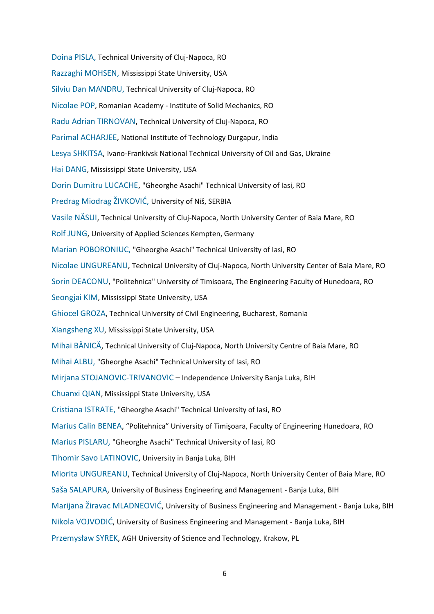Doina PISLA, Technical University of Cluj-Napoca, RO Razzaghi MOHSEN, Mississippi State University, USA Silviu Dan MANDRU, Technical University of Cluj-Napoca, RO Nicolae POP, Romanian Academy - Institute of Solid Mechanics, RO [Radu Adrian TIRNOVAN,](javascript:openRTWindow() Technical University of Cluj-Napoca, RO Parimal ACHARJEE, National Institute of Technology Durgapur, India [Lesya SHKITSA,](javascript:openRTWindow() Ivano-Frankivsk National Technical University of Oil and Gas, Ukraine Hai DANG, Mississippi State University, USA [Dorin Dumitru LUCACHE,](javascript:openRTWindow() "Gheorghe Asachi" Technical University of Iasi, RO Predrag Miodrag ŽIVKOVIĆ, University of Niš, SERBIA [Vasile NĂSUI](javascript:openRTWindow(), Technical University of Cluj-Napoca, North University Center of Baia Mare, RO [Rolf JUNG,](javascript:openRTWindow() University of Applied Sciences Kempten, Germany Marian POBORONIUC, "Gheorghe Asachi" Technical University of Iasi, RO [Nicolae UNGUREANU,](javascript:openRTWindow() Technical University of Cluj-Napoca, North University Center of Baia Mare, RO [Sorin DEACONU,](javascript:openRTWindow() "Politehnica" University of Timisoara, The Engineering Faculty of Hunedoara, RO Seongjai KIM, Mississippi State University, USA Ghiocel GROZA, Technical University of Civil Engineering, Bucharest, Romania Xiangsheng XU, Mississippi State University, USA [Mihai BĂNICĂ](javascript:openRTWindow(), Technical University of Cluj-Napoca, North University Centre of Baia Mare, RO Mihai ALBU, "Gheorghe Asachi" Technical University of Iasi, RO Mirjana STOJANOVIC-TRIVANOVIC – Independence University Banja Luka, BIH Chuanxi QIAN, Mississippi State University, USA Cristiana ISTRATE, "Gheorghe Asachi" Technical University of Iasi, RO [Marius Calin BENEA,](javascript:openRTWindow() "Politehnica" University of Timişoara, Faculty of Engineering Hunedoara, RO Marius PISLARU, "Gheorghe Asachi" Technical University of Iasi, RO [Tihomir Savo LATINOVIC,](javascript:openRTWindow() University in Banja Luka, BIH [Miorita UNGUREANU,](javascript:openRTWindow() Technical University of Cluj-Napoca, North University Center of Baia Mare, RO Sa[ša SALAPURA](javascript:openRTWindow(), University of Business Engineering and Management - Banja Luka, BIH [Marijana Žiravac MLADNEOVIĆ](javascript:openRTWindow(), University of Business Engineering and Management - Banja Luka, BIH [Nikola VOJVODIĆ](javascript:openRTWindow(), University of Business Engineering and Management - Banja Luka, BIH Przemysław SYREK, AGH University of Science and Technology, Krakow, PL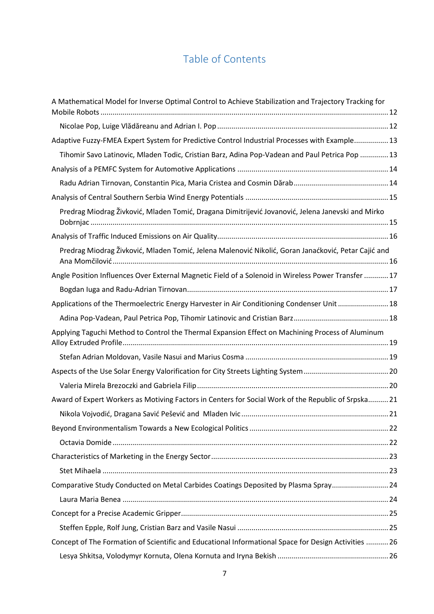# Table of Contents

| A Mathematical Model for Inverse Optimal Control to Achieve Stabilization and Trajectory Tracking for |  |
|-------------------------------------------------------------------------------------------------------|--|
|                                                                                                       |  |
| Adaptive Fuzzy-FMEA Expert System for Predictive Control Industrial Processes with Example 13         |  |
| Tihomir Savo Latinovic, Mladen Todic, Cristian Barz, Adina Pop-Vadean and Paul Petrica Pop  13        |  |
|                                                                                                       |  |
|                                                                                                       |  |
|                                                                                                       |  |
| Predrag Miodrag Živković, Mladen Tomić, Dragana Dimitrijević Jovanović, Jelena Janevski and Mirko     |  |
|                                                                                                       |  |
| Predrag Miodrag Živković, Mladen Tomić, Jelena Malenović Nikolić, Goran Janaćković, Petar Cajić and   |  |
| Angle Position Influences Over External Magnetic Field of a Solenoid in Wireless Power Transfer  17   |  |
|                                                                                                       |  |
| Applications of the Thermoelectric Energy Harvester in Air Conditioning Condenser Unit  18            |  |
|                                                                                                       |  |
| Applying Taguchi Method to Control the Thermal Expansion Effect on Machining Process of Aluminum      |  |
|                                                                                                       |  |
|                                                                                                       |  |
|                                                                                                       |  |
| Award of Expert Workers as Motiving Factors in Centers for Social Work of the Republic of Srpska 21   |  |
|                                                                                                       |  |
|                                                                                                       |  |
|                                                                                                       |  |
|                                                                                                       |  |
|                                                                                                       |  |
| Comparative Study Conducted on Metal Carbides Coatings Deposited by Plasma Spray 24                   |  |
|                                                                                                       |  |
|                                                                                                       |  |
|                                                                                                       |  |
| Concept of The Formation of Scientific and Educational Informational Space for Design Activities  26  |  |
|                                                                                                       |  |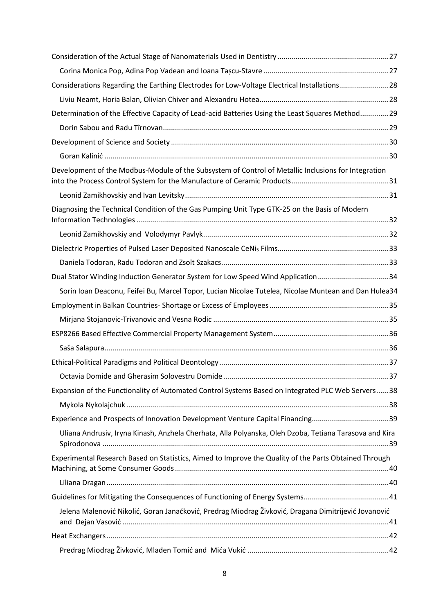| Considerations Regarding the Earthing Electrodes for Low-Voltage Electrical Installations28            |  |
|--------------------------------------------------------------------------------------------------------|--|
|                                                                                                        |  |
| Determination of the Effective Capacity of Lead-acid Batteries Using the Least Squares Method 29       |  |
|                                                                                                        |  |
|                                                                                                        |  |
|                                                                                                        |  |
| Development of the Modbus-Module of the Subsystem of Control of Metallic Inclusions for Integration    |  |
|                                                                                                        |  |
| Diagnosing the Technical Condition of the Gas Pumping Unit Type GTK-25 on the Basis of Modern          |  |
|                                                                                                        |  |
|                                                                                                        |  |
|                                                                                                        |  |
| Dual Stator Winding Induction Generator System for Low Speed Wind Application34                        |  |
| Sorin Ioan Deaconu, Feifei Bu, Marcel Topor, Lucian Nicolae Tutelea, Nicolae Muntean and Dan Hulea34   |  |
|                                                                                                        |  |
|                                                                                                        |  |
|                                                                                                        |  |
|                                                                                                        |  |
|                                                                                                        |  |
|                                                                                                        |  |
| Expansion of the Functionality of Automated Control Systems Based on Integrated PLC Web Servers 38     |  |
|                                                                                                        |  |
|                                                                                                        |  |
| Uliana Andrusiv, Iryna Kinash, Anzhela Cherhata, Alla Polyanska, Oleh Dzoba, Tetiana Tarasova and Kira |  |
| Experimental Research Based on Statistics, Aimed to Improve the Quality of the Parts Obtained Through  |  |
|                                                                                                        |  |
|                                                                                                        |  |
| Jelena Malenović Nikolić, Goran Janaćković, Predrag Miodrag Živković, Dragana Dimitrijević Jovanović   |  |
|                                                                                                        |  |
|                                                                                                        |  |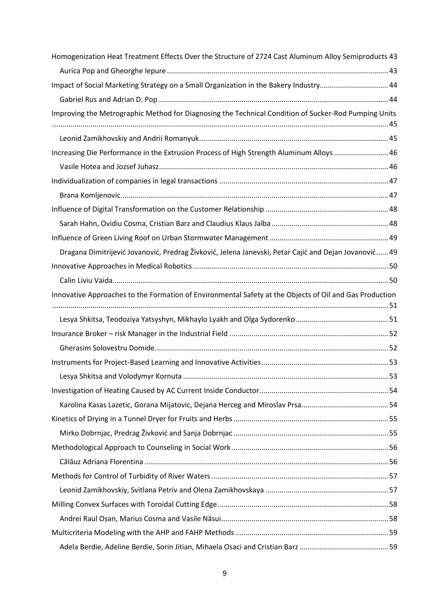| Homogenization Heat Treatment Effects Over the Structure of 2724 Cast Aluminum Alloy Semiproducts 43    |    |
|---------------------------------------------------------------------------------------------------------|----|
|                                                                                                         |    |
| Impact of Social Marketing Strategy on a Small Organization in the Bakery Industry 44                   |    |
|                                                                                                         |    |
| Improving the Metrographic Method for Diagnosing the Technical Condition of Sucker-Rod Pumping Units    |    |
|                                                                                                         |    |
|                                                                                                         |    |
| Increasing Die Performance in the Extrusion Process of High Strength Aluminum Alloys  46                |    |
|                                                                                                         |    |
|                                                                                                         |    |
|                                                                                                         |    |
|                                                                                                         |    |
|                                                                                                         |    |
|                                                                                                         |    |
| Dragana Dimitrijević Jovanović, Predrag Živković, Jelena Janevski, Petar Cajić and Dejan Jovanović 49   |    |
|                                                                                                         |    |
|                                                                                                         |    |
| Innovative Approaches to the Formation of Environmental Safety at the Objects of Oil and Gas Production |    |
|                                                                                                         |    |
|                                                                                                         |    |
|                                                                                                         |    |
|                                                                                                         |    |
|                                                                                                         | 53 |
|                                                                                                         |    |
|                                                                                                         |    |
|                                                                                                         |    |
|                                                                                                         |    |
|                                                                                                         |    |
|                                                                                                         |    |
|                                                                                                         |    |
|                                                                                                         |    |
|                                                                                                         |    |
|                                                                                                         |    |
|                                                                                                         |    |
|                                                                                                         |    |
|                                                                                                         |    |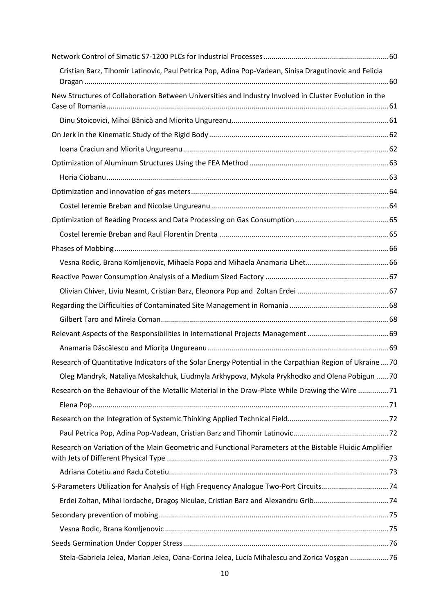| Cristian Barz, Tihomir Latinovic, Paul Petrica Pop, Adina Pop-Vadean, Sinisa Dragutinovic and Felicia    |  |
|----------------------------------------------------------------------------------------------------------|--|
|                                                                                                          |  |
| New Structures of Collaboration Between Universities and Industry Involved in Cluster Evolution in the   |  |
|                                                                                                          |  |
|                                                                                                          |  |
|                                                                                                          |  |
|                                                                                                          |  |
|                                                                                                          |  |
|                                                                                                          |  |
|                                                                                                          |  |
|                                                                                                          |  |
|                                                                                                          |  |
|                                                                                                          |  |
|                                                                                                          |  |
|                                                                                                          |  |
|                                                                                                          |  |
|                                                                                                          |  |
|                                                                                                          |  |
|                                                                                                          |  |
|                                                                                                          |  |
|                                                                                                          |  |
| Research of Quantitative Indicators of the Solar Energy Potential in the Carpathian Region of Ukraine 70 |  |
| Oleg Mandryk, Nataliya Moskalchuk, Liudmyla Arkhypova, Mykola Prykhodko and Olena Pobigun  70            |  |
| Research on the Behaviour of the Metallic Material in the Draw-Plate While Drawing the Wire  71          |  |
|                                                                                                          |  |
|                                                                                                          |  |
|                                                                                                          |  |
| Research on Variation of the Main Geometric and Functional Parameters at the Bistable Fluidic Amplifier  |  |
|                                                                                                          |  |
|                                                                                                          |  |
|                                                                                                          |  |
| Erdei Zoltan, Mihai Iordache, Dragoș Niculae, Cristian Barz and Alexandru Grib 74                        |  |
|                                                                                                          |  |
|                                                                                                          |  |
|                                                                                                          |  |
| Stela-Gabriela Jelea, Marian Jelea, Oana-Corina Jelea, Lucia Mihalescu and Zorica Voșgan  76             |  |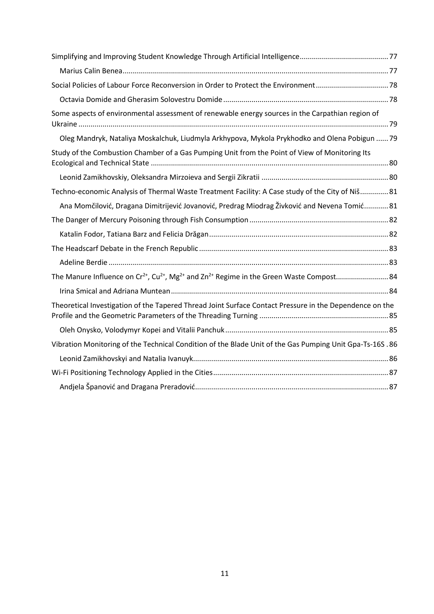| Some aspects of environmental assessment of renewable energy sources in the Carpathian region of        |  |
|---------------------------------------------------------------------------------------------------------|--|
| Oleg Mandryk, Nataliya Moskalchuk, Liudmyla Arkhypova, Mykola Prykhodko and Olena Pobigun  79           |  |
| Study of the Combustion Chamber of a Gas Pumping Unit from the Point of View of Monitoring Its          |  |
|                                                                                                         |  |
| Techno-economic Analysis of Thermal Waste Treatment Facility: A Case study of the City of Niš 81        |  |
| Ana Momčilović, Dragana Dimitrijević Jovanović, Predrag Miodrag Živković and Nevena Tomić 81            |  |
|                                                                                                         |  |
|                                                                                                         |  |
|                                                                                                         |  |
|                                                                                                         |  |
|                                                                                                         |  |
|                                                                                                         |  |
| Theoretical Investigation of the Tapered Thread Joint Surface Contact Pressure in the Dependence on the |  |
|                                                                                                         |  |
| Vibration Monitoring of the Technical Condition of the Blade Unit of the Gas Pumping Unit Gpa-Ts-16S.86 |  |
|                                                                                                         |  |
|                                                                                                         |  |
|                                                                                                         |  |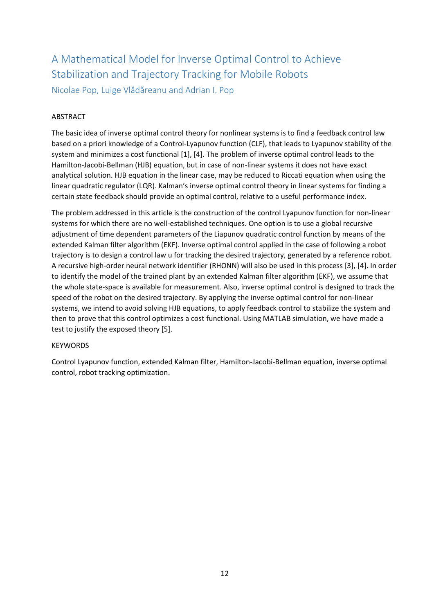# <span id="page-11-0"></span>A Mathematical Model for Inverse Optimal Control to Achieve Stabilization and Trajectory Tracking for Mobile Robots

<span id="page-11-1"></span>Nicolae Pop, Luige Vlădăreanu and Adrian I. Pop

## ABSTRACT

The basic idea of inverse optimal control theory for nonlinear systems is to find a feedback control law based on a priori knowledge of a Control-Lyapunov function (CLF), that leads to Lyapunov stability of the system and minimizes a cost functional [1], [4]. The problem of inverse optimal control leads to the Hamilton-Jacobi-Bellman (HJB) equation, but in case of non-linear systems it does not have exact analytical solution. HJB equation in the linear case, may be reduced to Riccati equation when using the linear quadratic regulator (LQR). Kalman's inverse optimal control theory in linear systems for finding a certain state feedback should provide an optimal control, relative to a useful performance index.

The problem addressed in this article is the construction of the control Lyapunov function for non-linear systems for which there are no well-established techniques. One option is to use a global recursive adjustment of time dependent parameters of the Liapunov quadratic control function by means of the extended Kalman filter algorithm (EKF). Inverse optimal control applied in the case of following a robot trajectory is to design a control law u for tracking the desired trajectory, generated by a reference robot. A recursive high-order neural network identifier (RHONN) will also be used in this process [3], [4]. In order to identify the model of the trained plant by an extended Kalman filter algorithm (EKF), we assume that the whole state-space is available for measurement. Also, inverse optimal control is designed to track the speed of the robot on the desired trajectory. By applying the inverse optimal control for non-linear systems, we intend to avoid solving HJB equations, to apply feedback control to stabilize the system and then to prove that this control optimizes a cost functional. Using MATLAB simulation, we have made a test to justify the exposed theory [5].

### KEYWORDS

Control Lyapunov function, extended Kalman filter, Hamilton-Jacobi-Bellman equation, inverse optimal control, robot tracking optimization.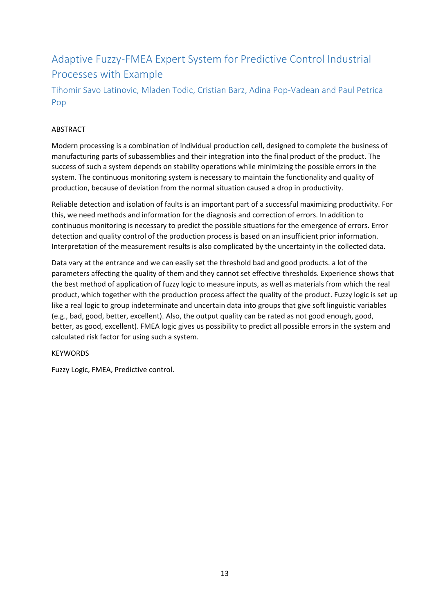# <span id="page-12-0"></span>Adaptive Fuzzy-FMEA Expert System for Predictive Control Industrial Processes with Example

# <span id="page-12-1"></span>Tihomir Savo Latinovic, Mladen Todic, Cristian Barz, Adina Pop-Vadean and Paul Petrica Pop

# ABSTRACT

Modern processing is a combination of individual production cell, designed to complete the business of manufacturing parts of subassemblies and their integration into the final product of the product. The success of such a system depends on stability operations while minimizing the possible errors in the system. The continuous monitoring system is necessary to maintain the functionality and quality of production, because of deviation from the normal situation caused a drop in productivity.

Reliable detection and isolation of faults is an important part of a successful maximizing productivity. For this, we need methods and information for the diagnosis and correction of errors. In addition to continuous monitoring is necessary to predict the possible situations for the emergence of errors. Error detection and quality control of the production process is based on an insufficient prior information. Interpretation of the measurement results is also complicated by the uncertainty in the collected data.

Data vary at the entrance and we can easily set the threshold bad and good products. a lot of the parameters affecting the quality of them and they cannot set effective thresholds. Experience shows that the best method of application of fuzzy logic to measure inputs, as well as materials from which the real product, which together with the production process affect the quality of the product. Fuzzy logic is set up like a real logic to group indeterminate and uncertain data into groups that give soft linguistic variables (e.g., bad, good, better, excellent). Also, the output quality can be rated as not good enough, good, better, as good, excellent). FMEA logic gives us possibility to predict all possible errors in the system and calculated risk factor for using such a system.

### **KEYWORDS**

Fuzzy Logic, FMEA, Predictive control.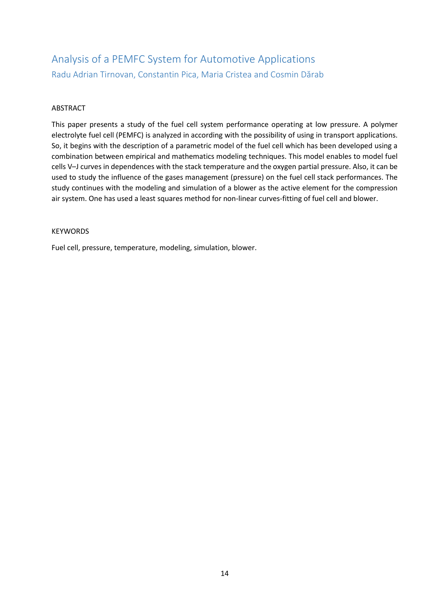# <span id="page-13-1"></span><span id="page-13-0"></span>Analysis of a PEMFC System for Automotive Applications Radu Adrian Tirnovan, Constantin Pica, Maria Cristea and Cosmin Dărab

### ABSTRACT

This paper presents a study of the fuel cell system performance operating at low pressure. A polymer electrolyte fuel cell (PEMFC) is analyzed in according with the possibility of using in transport applications. So, it begins with the description of a parametric model of the fuel cell which has been developed using a combination between empirical and mathematics modeling techniques. This model enables to model fuel cells V–J curves in dependences with the stack temperature and the oxygen partial pressure. Also, it can be used to study the influence of the gases management (pressure) on the fuel cell stack performances. The study continues with the modeling and simulation of a blower as the active element for the compression air system. One has used a least squares method for non-linear curves-fitting of fuel cell and blower.

#### **KEYWORDS**

Fuel cell, pressure, temperature, modeling, simulation, blower.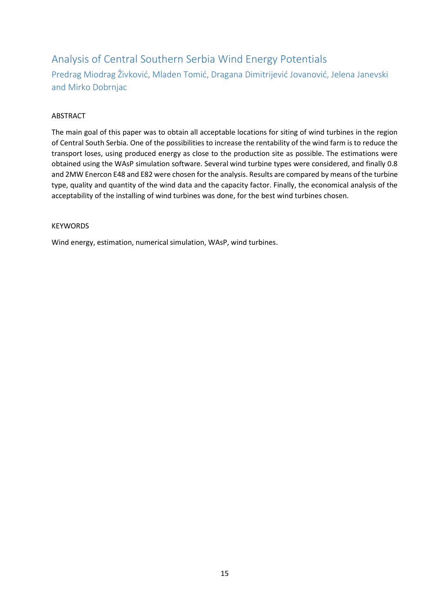# <span id="page-14-0"></span>Analysis of Central Southern Serbia Wind Energy Potentials

<span id="page-14-1"></span>Predrag Miodrag Živković, Mladen Tomić, Dragana Dimitrijević Jovanović, Jelena Janevski and Mirko Dobrnjac

### ABSTRACT

The main goal of this paper was to obtain all acceptable locations for siting of wind turbines in the region of Central South Serbia. One of the possibilities to increase the rentability of the wind farm is to reduce the transport loses, using produced energy as close to the production site as possible. The estimations were obtained using the WAsP simulation software. Several wind turbine types were considered, and finally 0.8 and 2MW Enercon E48 and E82 were chosen for the analysis. Results are compared by means of the turbine type, quality and quantity of the wind data and the capacity factor. Finally, the economical analysis of the acceptability of the installing of wind turbines was done, for the best wind turbines chosen.

### **KEYWORDS**

Wind energy, estimation, numerical simulation, WAsP, wind turbines.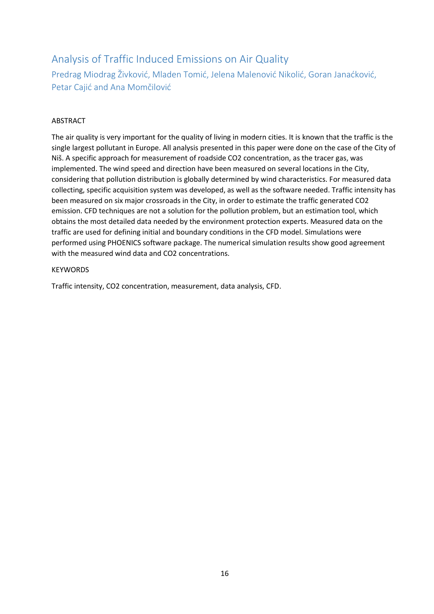# <span id="page-15-0"></span>Analysis of Traffic Induced Emissions on Air Quality

<span id="page-15-1"></span>Predrag Miodrag Živković, Mladen Tomić, Jelena Malenović Nikolić, Goran Janaćković, Petar Cajić and Ana Momčilović

### ABSTRACT

The air quality is very important for the quality of living in modern cities. It is known that the traffic is the single largest pollutant in Europe. All analysis presented in this paper were done on the case of the City of Niš. A specific approach for measurement of roadside CO2 concentration, as the tracer gas, was implemented. The wind speed and direction have been measured on several locations in the City, considering that pollution distribution is globally determined by wind characteristics. For measured data collecting, specific acquisition system was developed, as well as the software needed. Traffic intensity has been measured on six major crossroads in the City, in order to estimate the traffic generated CO2 emission. CFD techniques are not a solution for the pollution problem, but an estimation tool, which obtains the most detailed data needed by the environment protection experts. Measured data on the traffic are used for defining initial and boundary conditions in the CFD model. Simulations were performed using PHOENICS software package. The numerical simulation results show good agreement with the measured wind data and CO2 concentrations.

#### **KEYWORDS**

Traffic intensity, CO2 concentration, measurement, data analysis, CFD.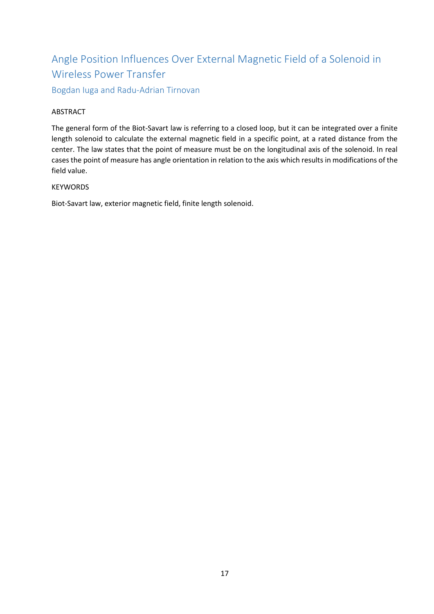# <span id="page-16-0"></span>Angle Position Influences Over External Magnetic Field of a Solenoid in Wireless Power Transfer

<span id="page-16-1"></span>Bogdan Iuga and Radu-Adrian Tirnovan

### ABSTRACT

The general form of the Biot-Savart law is referring to a closed loop, but it can be integrated over a finite length solenoid to calculate the external magnetic field in a specific point, at a rated distance from the center. The law states that the point of measure must be on the longitudinal axis of the solenoid. In real cases the point of measure has angle orientation in relation to the axis which results in modifications of the field value.

#### **KEYWORDS**

Biot-Savart law, exterior magnetic field, finite length solenoid.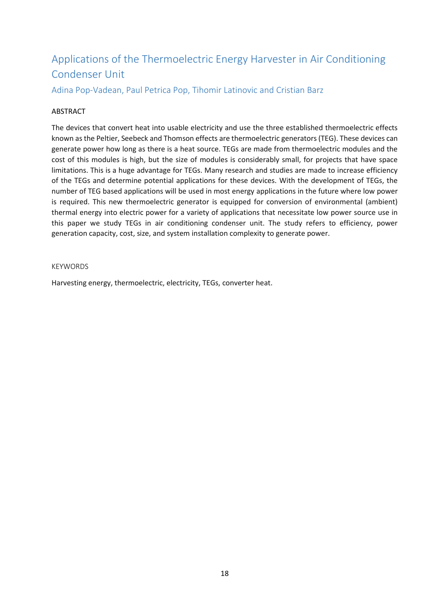# <span id="page-17-0"></span>Applications of the Thermoelectric Energy Harvester in Air Conditioning Condenser Unit

<span id="page-17-1"></span>Adina Pop-Vadean, Paul Petrica Pop, Tihomir Latinovic and Cristian Barz

#### ABSTRACT

The devices that convert heat into usable electricity and use the three established thermoelectric effects known as the Peltier, Seebeck and Thomson effects are thermoelectric generators (TEG). These devices can generate power how long as there is a heat source. TEGs are made from thermoelectric modules and the cost of this modules is high, but the size of modules is considerably small, for projects that have space limitations. This is a huge advantage for TEGs. Many research and studies are made to increase efficiency of the TEGs and determine potential applications for these devices. With the development of TEGs, the number of TEG based applications will be used in most energy applications in the future where low power is required. This new thermoelectric generator is equipped for conversion of environmental (ambient) thermal energy into electric power for a variety of applications that necessitate low power source use in this paper we study TEGs in air conditioning condenser unit. The study refers to efficiency, power generation capacity, cost, size, and system installation complexity to generate power.

#### KEYWORDS

Harvesting energy, thermoelectric, electricity, TEGs, converter heat.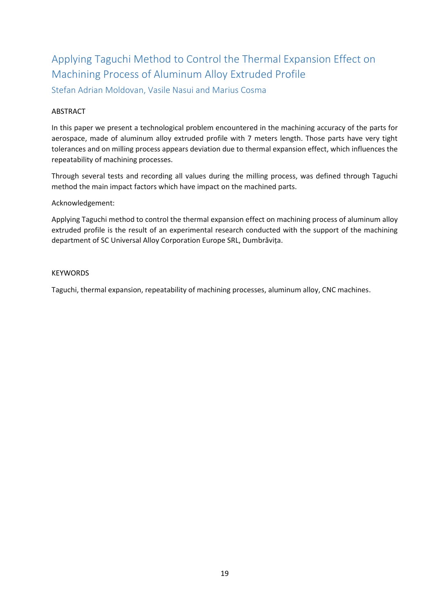# <span id="page-18-0"></span>Applying Taguchi Method to Control the Thermal Expansion Effect on Machining Process of Aluminum Alloy Extruded Profile

<span id="page-18-1"></span>Stefan Adrian Moldovan, Vasile Nasui and Marius Cosma

#### ABSTRACT

In this paper we present a technological problem encountered in the machining accuracy of the parts for aerospace, made of aluminum alloy extruded profile with 7 meters length. Those parts have very tight tolerances and on milling process appears deviation due to thermal expansion effect, which influences the repeatability of machining processes.

Through several tests and recording all values during the milling process, was defined through Taguchi method the main impact factors which have impact on the machined parts.

Acknowledgement:

Applying Taguchi method to control the thermal expansion effect on machining process of aluminum alloy extruded profile is the result of an experimental research conducted with the support of the machining department of SC Universal Alloy Corporation Europe SRL, Dumbrăvița.

#### KEYWORDS

Taguchi, thermal expansion, repeatability of machining processes, aluminum alloy, CNC machines.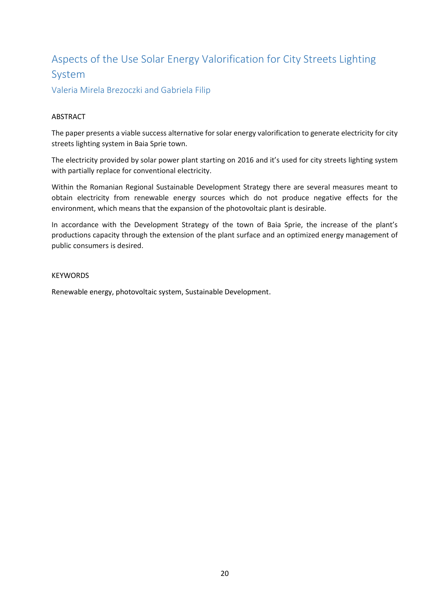# <span id="page-19-0"></span>Aspects of the Use Solar Energy Valorification for City Streets Lighting System

<span id="page-19-1"></span>Valeria Mirela Brezoczki and Gabriela Filip

### ABSTRACT

The paper presents a viable success alternative for solar energy valorification to generate electricity for city streets lighting system in Baia Sprie town.

The electricity provided by solar power plant starting on 2016 and it's used for city streets lighting system with partially replace for conventional electricity.

Within the Romanian Regional Sustainable Development Strategy there are several measures meant to obtain electricity from renewable energy sources which do not produce negative effects for the environment, which means that the expansion of the photovoltaic plant is desirable.

In accordance with the Development Strategy of the town of Baia Sprie, the increase of the plant's productions capacity through the extension of the plant surface and an optimized energy management of public consumers is desired.

#### **KEYWORDS**

Renewable energy, photovoltaic system, Sustainable Development.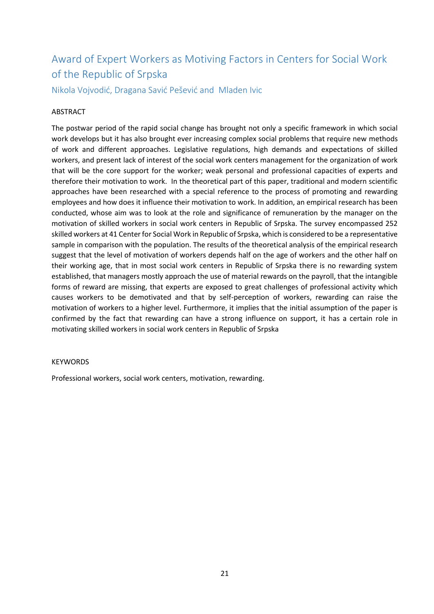# <span id="page-20-0"></span>Award of Expert Workers as Motiving Factors in Centers for Social Work of the Republic of Srpska

<span id="page-20-1"></span>Nikola Vojvodić, Dragana Savić Pešević and Mladen Ivic

#### ABSTRACT

The postwar period of the rapid social change has brought not only a specific framework in which social work develops but it has also brought ever increasing complex social problems that require new methods of work and different approaches. Legislative regulations, high demands and expectations of skilled workers, and present lack of interest of the social work centers management for the organization of work that will be the core support for the worker; weak personal and professional capacities of experts and therefore their motivation to work. In the theoretical part of this paper, traditional and modern scientific approaches have been researched with a special reference to the process of promoting and rewarding employees and how does it influence their motivation to work. In addition, an empirical research has been conducted, whose aim was to look at the role and significance of remuneration by the manager on the motivation of skilled workers in social work centers in Republic of Srpska. The survey encompassed 252 skilled workers at 41 Center for Social Work in Republic of Srpska, which is considered to be a representative sample in comparison with the population. The results of the theoretical analysis of the empirical research suggest that the level of motivation of workers depends half on the age of workers and the other half on their working age, that in most social work centers in Republic of Srpska there is no rewarding system established, that managers mostly approach the use of material rewards on the payroll, that the intangible forms of reward are missing, that experts are exposed to great challenges of professional activity which causes workers to be demotivated and that by self-perception of workers, rewarding can raise the motivation of workers to a higher level. Furthermore, it implies that the initial assumption of the paper is confirmed by the fact that rewarding can have a strong influence on support, it has a certain role in motivating skilled workers in social work centers in Republic of Srpska

#### KEYWORDS

Professional workers, social work centers, motivation, rewarding.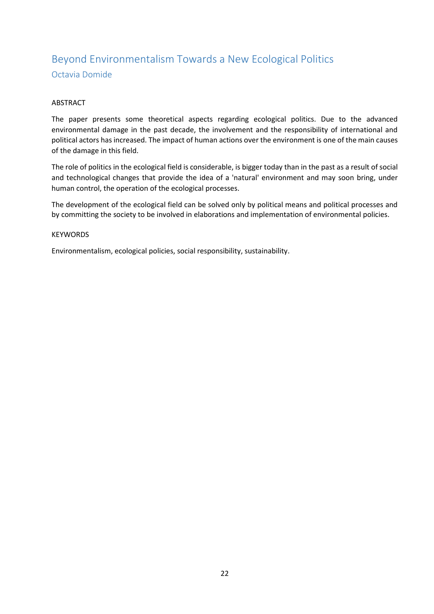# <span id="page-21-1"></span><span id="page-21-0"></span>Beyond Environmentalism Towards a New Ecological Politics Octavia Domide

### ABSTRACT

The paper presents some theoretical aspects regarding ecological politics. Due to the advanced environmental damage in the past decade, the involvement and the responsibility of international and political actors has increased. The impact of human actions over the environment is one of the main causes of the damage in this field.

The role of politics in the ecological field is considerable, is bigger today than in the past as a result of social and technological changes that provide the idea of a 'natural' environment and may soon bring, under human control, the operation of the ecological processes.

The development of the ecological field can be solved only by political means and political processes and by committing the society to be involved in elaborations and implementation of environmental policies.

#### KEYWORDS

Environmentalism, ecological policies, social responsibility, sustainability.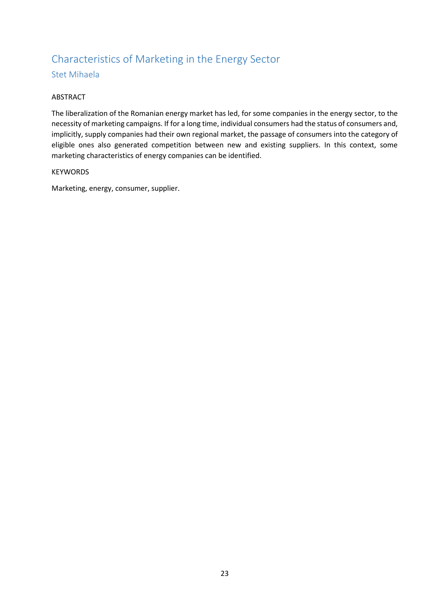# <span id="page-22-0"></span>Characteristics of Marketing in the Energy Sector

### <span id="page-22-1"></span>Stet Mihaela

#### ABSTRACT

The liberalization of the Romanian energy market has led, for some companies in the energy sector, to the necessity of marketing campaigns. If for a long time, individual consumers had the status of consumers and, implicitly, supply companies had their own regional market, the passage of consumers into the category of eligible ones also generated competition between new and existing suppliers. In this context, some marketing characteristics of energy companies can be identified.

#### **KEYWORDS**

Marketing, energy, consumer, supplier.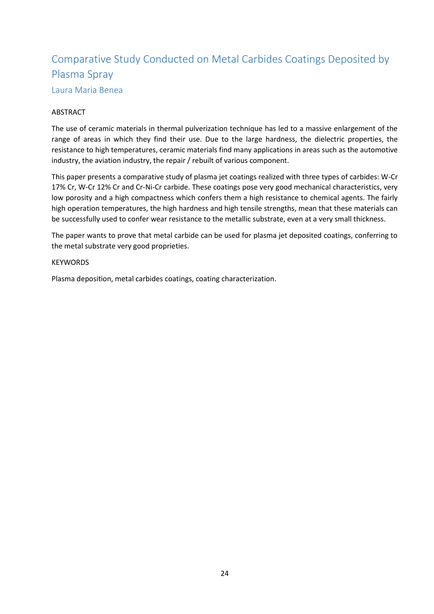# <span id="page-23-0"></span>Comparative Study Conducted on Metal Carbides Coatings Deposited by Plasma Spray Laura Maria Benea

#### <span id="page-23-1"></span>ABSTRACT

The use of ceramic materials in thermal pulverization technique has led to a massive enlargement of the range of areas in which they find their use. Due to the large hardness, the dielectric properties, the resistance to high temperatures, ceramic materials find many applications in areas such as the automotive industry, the aviation industry, the repair / rebuilt of various component.

This paper presents a comparative study of plasma jet coatings realized with three types of carbides: W-Cr 17% Cr, W-Cr 12% Cr and Cr-Ni-Cr carbide. These coatings pose very good mechanical characteristics, very low porosity and a high compactness which confers them a high resistance to chemical agents. The fairly high operation temperatures, the high hardness and high tensile strengths, mean that these materials can be successfully used to confer wear resistance to the metallic substrate, even at a very small thickness.

The paper wants to prove that metal carbide can be used for plasma jet deposited coatings, conferring to the metal substrate very good proprieties.

#### **KEYWORDS**

Plasma deposition, metal carbides coatings, coating characterization.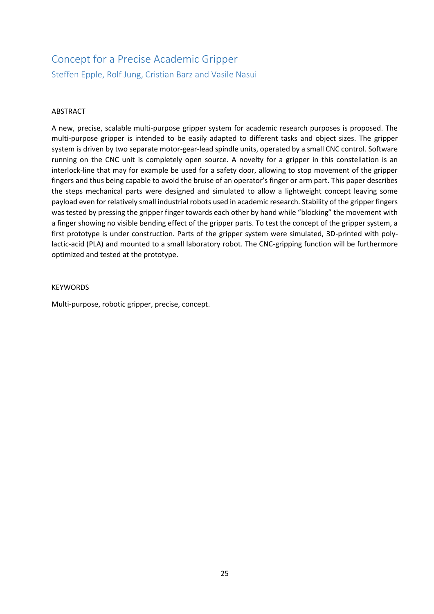# <span id="page-24-1"></span><span id="page-24-0"></span>Concept for a Precise Academic Gripper Steffen Epple, Rolf Jung, Cristian Barz and Vasile Nasui

#### ABSTRACT

A new, precise, scalable multi-purpose gripper system for academic research purposes is proposed. The multi-purpose gripper is intended to be easily adapted to different tasks and object sizes. The gripper system is driven by two separate motor-gear-lead spindle units, operated by a small CNC control. Software running on the CNC unit is completely open source. A novelty for a gripper in this constellation is an interlock-line that may for example be used for a safety door, allowing to stop movement of the gripper fingers and thus being capable to avoid the bruise of an operator's finger or arm part. This paper describes the steps mechanical parts were designed and simulated to allow a lightweight concept leaving some payload even for relatively small industrial robots used in academic research. Stability of the gripper fingers was tested by pressing the gripper finger towards each other by hand while "blocking" the movement with a finger showing no visible bending effect of the gripper parts. To test the concept of the gripper system, a first prototype is under construction. Parts of the gripper system were simulated, 3D-printed with polylactic-acid (PLA) and mounted to a small laboratory robot. The CNC-gripping function will be furthermore optimized and tested at the prototype.

#### **KEYWORDS**

Multi-purpose, robotic gripper, precise, concept.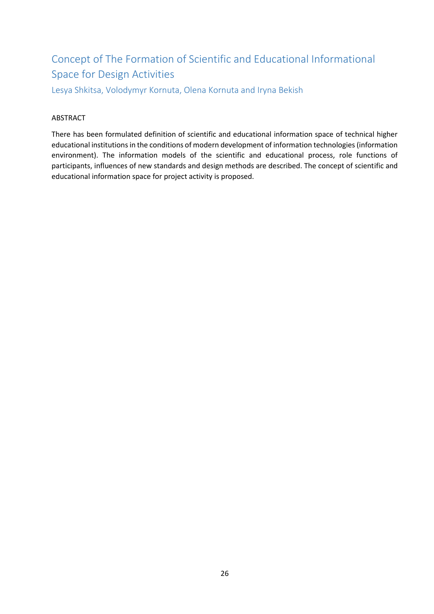# <span id="page-25-0"></span>Concept of The Formation of Scientific and Educational Informational Space for Design Activities

<span id="page-25-1"></span>Lesya Shkitsa, Volodymyr Kornuta, Olena Kornuta and Iryna Bekish

## ABSTRACT

There has been formulated definition of scientific and educational information space of technical higher educational institutions in the conditions of modern development of information technologies (information environment). The information models of the scientific and educational process, role functions of participants, influences of new standards and design methods are described. The concept of scientific and educational information space for project activity is proposed.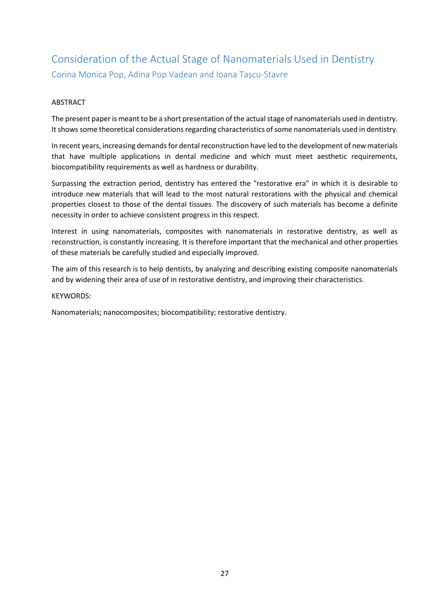# <span id="page-26-1"></span><span id="page-26-0"></span>Consideration of the Actual Stage of Nanomaterials Used in Dentistry Corina Monica Pop, Adina Pop Vadean and Ioana Tașcu-Stavre

#### ABSTRACT

The present paper is meant to be a short presentation of the actual stage of nanomaterials used in dentistry. It shows some theoretical considerations regarding characteristics of some nanomaterials used in dentistry.

In recent years, increasing demands for dental reconstruction have led to the development of new materials that have multiple applications in dental medicine and which must meet aesthetic requirements, biocompatibility requirements as well as hardness or durability.

Surpassing the extraction period, dentistry has entered the "restorative era" in which it is desirable to introduce new materials that will lead to the most natural restorations with the physical and chemical properties closest to those of the dental tissues. The discovery of such materials has become a definite necessity in order to achieve consistent progress in this respect.

Interest in using nanomaterials, composites with nanomaterials in restorative dentistry, as well as reconstruction, is constantly increasing. It is therefore important that the mechanical and other properties of these materials be carefully studied and especially improved.

The aim of this research is to help dentists, by analyzing and describing existing composite nanomaterials and by widening their area of use of in restorative dentistry, and improving their characteristics.

#### KEYWORDS:

Nanomaterials; nanocomposites; biocompatibility; restorative dentistry.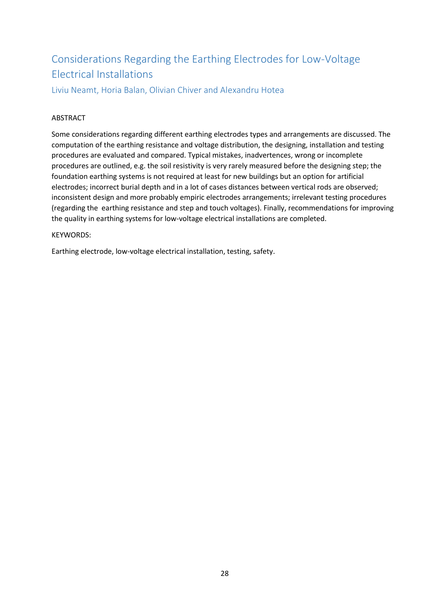# <span id="page-27-0"></span>Considerations Regarding the Earthing Electrodes for Low-Voltage Electrical Installations

<span id="page-27-1"></span>Liviu Neamt, Horia Balan, Olivian Chiver and Alexandru Hotea

### ABSTRACT

Some considerations regarding different earthing electrodes types and arrangements are discussed. The computation of the earthing resistance and voltage distribution, the designing, installation and testing procedures are evaluated and compared. Typical mistakes, inadvertences, wrong or incomplete procedures are outlined, e.g. the soil resistivity is very rarely measured before the designing step; the foundation earthing systems is not required at least for new buildings but an option for artificial electrodes; incorrect burial depth and in a lot of cases distances between vertical rods are observed; inconsistent design and more probably empiric electrodes arrangements; irrelevant testing procedures (regarding the earthing resistance and step and touch voltages). Finally, recommendations for improving the quality in earthing systems for low-voltage electrical installations are completed.

### KEYWORDS:

Earthing electrode, low-voltage electrical installation, testing, safety.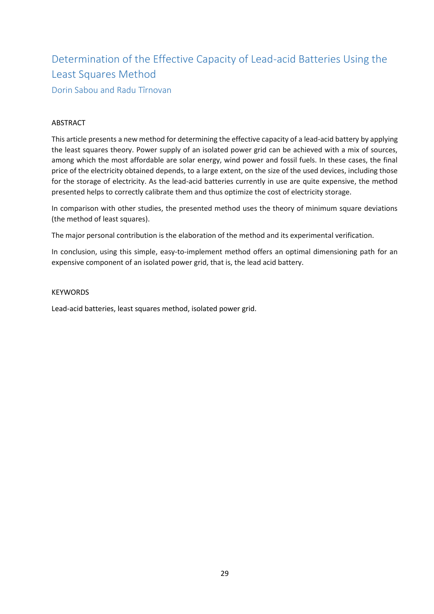# <span id="page-28-0"></span>Determination of the Effective Capacity of Lead-acid Batteries Using the Least Squares Method

<span id="page-28-1"></span>Dorin Sabou and Radu Tîrnovan

## ABSTRACT

This article presents a new method for determining the effective capacity of a lead-acid battery by applying the least squares theory. Power supply of an isolated power grid can be achieved with a mix of sources, among which the most affordable are solar energy, wind power and fossil fuels. In these cases, the final price of the electricity obtained depends, to a large extent, on the size of the used devices, including those for the storage of electricity. As the lead-acid batteries currently in use are quite expensive, the method presented helps to correctly calibrate them and thus optimize the cost of electricity storage.

In comparison with other studies, the presented method uses the theory of minimum square deviations (the method of least squares).

The major personal contribution is the elaboration of the method and its experimental verification.

In conclusion, using this simple, easy-to-implement method offers an optimal dimensioning path for an expensive component of an isolated power grid, that is, the lead acid battery.

#### **KEYWORDS**

Lead-acid batteries, least squares method, isolated power grid.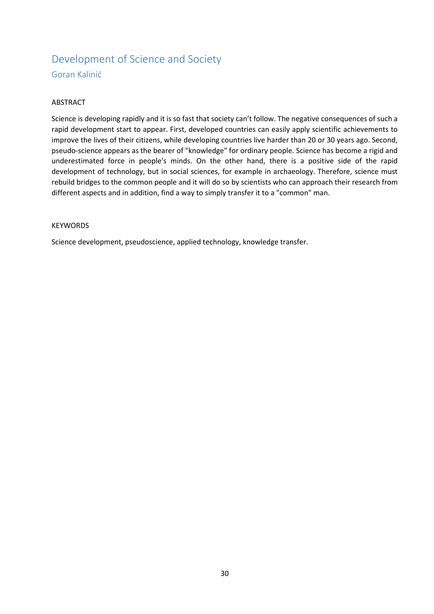# <span id="page-29-1"></span><span id="page-29-0"></span>Development of Science and Society Goran Kalinić

#### ABSTRACT

Science is developing rapidly and it is so fast that society can't follow. The negative consequences of such a rapid development start to appear. First, developed countries can easily apply scientific achievements to improve the lives of their citizens, while developing countries live harder than 20 or 30 years ago. Second, pseudo-science appears as the bearer of "knowledge" for ordinary people. Science has become a rigid and underestimated force in people's minds. On the other hand, there is a positive side of the rapid development of technology, but in social sciences, for example in archaeology. Therefore, science must rebuild bridges to the common people and it will do so by scientists who can approach their research from different aspects and in addition, find a way to simply transfer it to a "common" man.

#### **KEYWORDS**

Science development, pseudoscience, applied technology, knowledge transfer.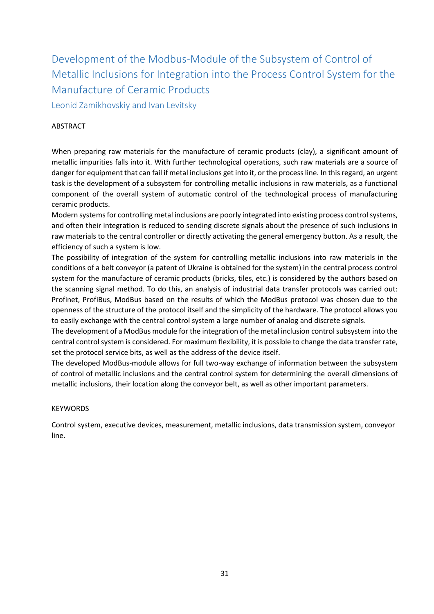<span id="page-30-0"></span>Development of the Modbus-Module of the Subsystem of Control of Metallic Inclusions for Integration into the Process Control System for the Manufacture of Ceramic Products

<span id="page-30-1"></span>Leonid Zamikhovskiy and Ivan Levitsky

### ABSTRACT

When preparing raw materials for the manufacture of ceramic products (clay), a significant amount of metallic impurities falls into it. With further technological operations, such raw materials are a source of danger for equipment that can fail if metal inclusions get into it, or the process line. In this regard, an urgent task is the development of a subsystem for controlling metallic inclusions in raw materials, as a functional component of the overall system of automatic control of the technological process of manufacturing ceramic products.

Modern systems for controlling metal inclusions are poorly integrated into existing process control systems, and often their integration is reduced to sending discrete signals about the presence of such inclusions in raw materials to the central controller or directly activating the general emergency button. As a result, the efficiency of such a system is low.

The possibility of integration of the system for controlling metallic inclusions into raw materials in the conditions of a belt conveyor (a patent of Ukraine is obtained for the system) in the central process control system for the manufacture of ceramic products (bricks, tiles, etc.) is considered by the authors based on the scanning signal method. To do this, an analysis of industrial data transfer protocols was carried out: Profinet, ProfiBus, ModBus based on the results of which the ModBus protocol was chosen due to the openness of the structure of the protocol itself and the simplicity of the hardware. The protocol allows you to easily exchange with the central control system a large number of analog and discrete signals.

The development of a ModBus module for the integration of the metal inclusion control subsystem into the central control system is considered. For maximum flexibility, it is possible to change the data transfer rate, set the protocol service bits, as well as the address of the device itself.

The developed ModBus-module allows for full two-way exchange of information between the subsystem of control of metallic inclusions and the central control system for determining the overall dimensions of metallic inclusions, their location along the conveyor belt, as well as other important parameters.

### KEYWORDS

Control system, executive devices, measurement, metallic inclusions, data transmission system, conveyor line.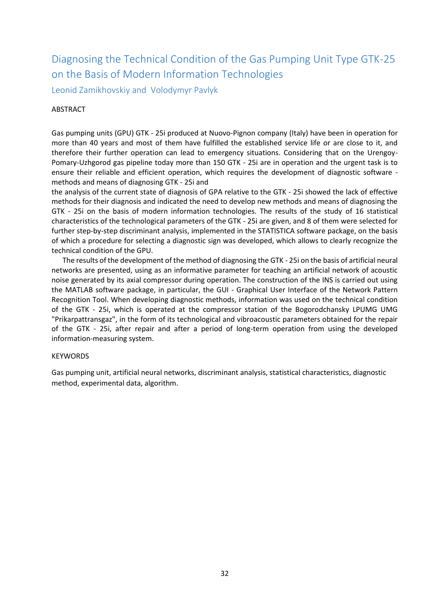# <span id="page-31-0"></span>Diagnosing the Technical Condition of the Gas Pumping Unit Type GTK-25 on the Basis of Modern Information Technologies

<span id="page-31-1"></span>Leonid Zamikhovskiy and Volodymyr Pavlyk

#### ABSTRACT

Gas pumping units (GPU) GTK - 25i produced at Nuovo-Pignon company (Italy) have been in operation for more than 40 years and most of them have fulfilled the established service life or are close to it, and therefore their further operation can lead to emergency situations. Considering that on the Urengoy-Pomary-Uzhgorod gas pipeline today more than 150 GTK - 25i are in operation and the urgent task is to ensure their reliable and efficient operation, which requires the development of diagnostic software methods and means of diagnosing GTK - 25i and

the analysis of the current state of diagnosis of GPA relative to the GTK - 25i showed the lack of effective methods for their diagnosis and indicated the need to develop new methods and means of diagnosing the GTK - 25i on the basis of modern information technologies. The results of the study of 16 statistical characteristics of the technological parameters of the GTK - 25i are given, and 8 of them were selected for further step-by-step discriminant analysis, implemented in the STATISTICA software package, on the basis of which a procedure for selecting a diagnostic sign was developed, which allows to clearly recognize the technical condition of the GPU.

 The results of the development of the method of diagnosing the GTK - 25i on the basis of artificial neural networks are presented, using as an informative parameter for teaching an artificial network of acoustic noise generated by its axial compressor during operation. The construction of the INS is carried out using the MATLAB software package, in particular, the GUI - Graphical User Interface of the Network Pattern Recognition Tool. When developing diagnostic methods, information was used on the technical condition of the GTK - 25i, which is operated at the compressor station of the Bogorodchansky LPUMG UMG "Prikarpattransgaz", in the form of its technological and vibroacoustic parameters obtained for the repair of the GTK - 25i, after repair and after a period of long-term operation from using the developed information-measuring system.

#### **KEYWORDS**

Gas pumping unit, artificial neural networks, discriminant analysis, statistical characteristics, diagnostic method, experimental data, algorithm.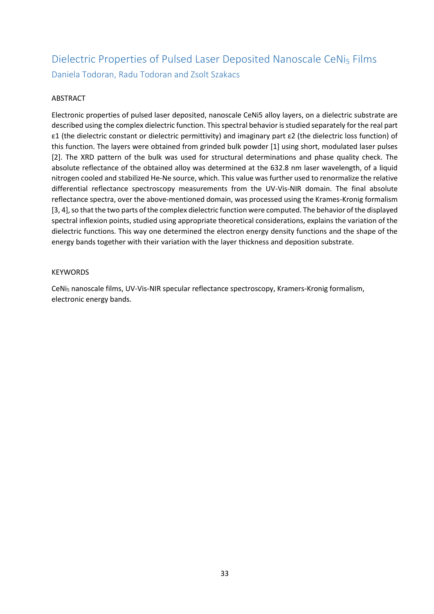# <span id="page-32-1"></span><span id="page-32-0"></span>Dielectric Properties of Pulsed Laser Deposited Nanoscale CeNi5 Films Daniela Todoran, Radu Todoran and Zsolt Szakacs

## ABSTRACT

Electronic properties of pulsed laser deposited, nanoscale CeNi5 alloy layers, on a dielectric substrate are described using the complex dielectric function. This spectral behavior is studied separately for the real part ε1 (the dielectric constant or dielectric permittivity) and imaginary part ε2 (the dielectric loss function) of this function. The layers were obtained from grinded bulk powder [1] using short, modulated laser pulses [2]. The XRD pattern of the bulk was used for structural determinations and phase quality check. The absolute reflectance of the obtained alloy was determined at the 632.8 nm laser wavelength, of a liquid nitrogen cooled and stabilized He-Ne source, which. This value was further used to renormalize the relative differential reflectance spectroscopy measurements from the UV-Vis-NIR domain. The final absolute reflectance spectra, over the above-mentioned domain, was processed using the Krames-Kronig formalism [3, 4], so that the two parts of the complex dielectric function were computed. The behavior of the displayed spectral inflexion points, studied using appropriate theoretical considerations, explains the variation of the dielectric functions. This way one determined the electron energy density functions and the shape of the energy bands together with their variation with the layer thickness and deposition substrate.

#### KEYWORDS

CeNi<sup>5</sup> nanoscale films, UV-Vis-NIR specular reflectance spectroscopy, Kramers-Kronig formalism, electronic energy bands.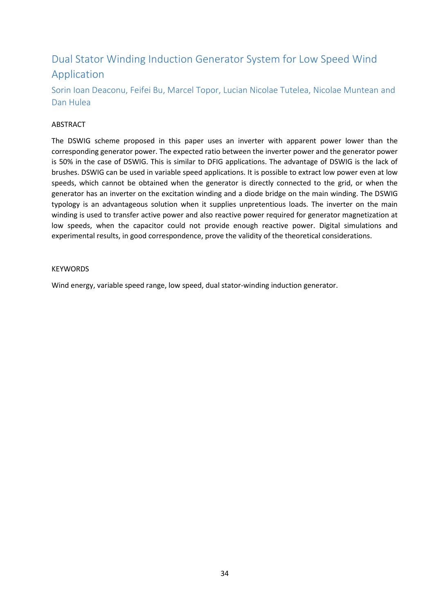# <span id="page-33-0"></span>Dual Stator Winding Induction Generator System for Low Speed Wind Application

<span id="page-33-1"></span>Sorin Ioan Deaconu, Feifei Bu, Marcel Topor, Lucian Nicolae Tutelea, Nicolae Muntean and Dan Hulea

### ABSTRACT

The DSWIG scheme proposed in this paper uses an inverter with apparent power lower than the corresponding generator power. The expected ratio between the inverter power and the generator power is 50% in the case of DSWIG. This is similar to DFIG applications. The advantage of DSWIG is the lack of brushes. DSWIG can be used in variable speed applications. It is possible to extract low power even at low speeds, which cannot be obtained when the generator is directly connected to the grid, or when the generator has an inverter on the excitation winding and a diode bridge on the main winding. The DSWIG typology is an advantageous solution when it supplies unpretentious loads. The inverter on the main winding is used to transfer active power and also reactive power required for generator magnetization at low speeds, when the capacitor could not provide enough reactive power. Digital simulations and experimental results, in good correspondence, prove the validity of the theoretical considerations.

#### **KEYWORDS**

Wind energy, variable speed range, low speed, dual stator-winding induction generator.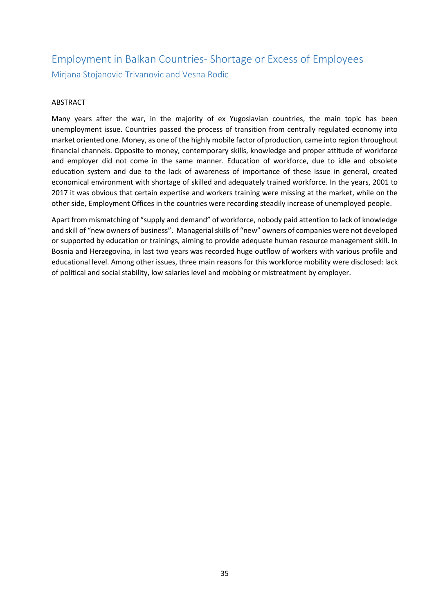# <span id="page-34-1"></span><span id="page-34-0"></span>Employment in Balkan Countries- Shortage or Excess of Employees Mirjana Stojanovic-Trivanovic and Vesna Rodic

### ABSTRACT

Many years after the war, in the majority of ex Yugoslavian countries, the main topic has been unemployment issue. Countries passed the process of transition from centrally regulated economy into market oriented one. Money, as one of the highly mobile factor of production, came into region throughout financial channels. Opposite to money, contemporary skills, knowledge and proper attitude of workforce and employer did not come in the same manner. Education of workforce, due to idle and obsolete education system and due to the lack of awareness of importance of these issue in general, created economical environment with shortage of skilled and adequately trained workforce. In the years, 2001 to 2017 it was obvious that certain expertise and workers training were missing at the market, while on the other side, Employment Offices in the countries were recording steadily increase of unemployed people.

Apart from mismatching of "supply and demand" of workforce, nobody paid attention to lack of knowledge and skill of "new owners of business". Managerial skills of "new" owners of companies were not developed or supported by education or trainings, aiming to provide adequate human resource management skill. In Bosnia and Herzegovina, in last two years was recorded huge outflow of workers with various profile and educational level. Among other issues, three main reasons for this workforce mobility were disclosed: lack of political and social stability, low salaries level and mobbing or mistreatment by employer.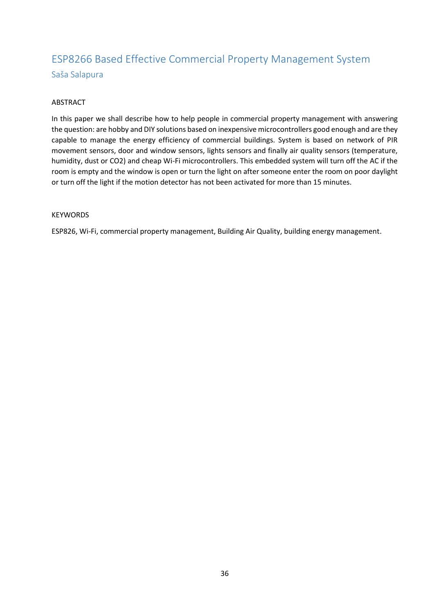# <span id="page-35-1"></span><span id="page-35-0"></span>ESP8266 Based Effective Commercial Property Management System Saša Salapura

### ABSTRACT

In this paper we shall describe how to help people in commercial property management with answering the question: are hobby and DIY solutions based on inexpensive microcontrollers good enough and are they capable to manage the energy efficiency of commercial buildings. System is based on network of PIR movement sensors, door and window sensors, lights sensors and finally air quality sensors (temperature, humidity, dust or CO2) and cheap Wi-Fi microcontrollers. This embedded system will turn off the AC if the room is empty and the window is open or turn the light on after someone enter the room on poor daylight or turn off the light if the motion detector has not been activated for more than 15 minutes.

#### KEYWORDS

ESP826, Wi-Fi, commercial property management, Building Air Quality, building energy management.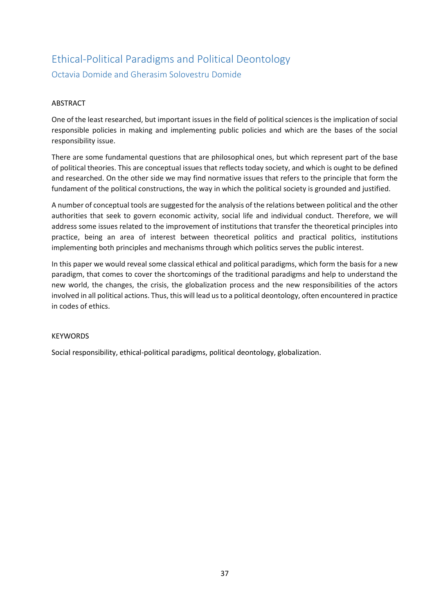### Ethical-Political Paradigms and Political Deontology Octavia Domide and Gherasim Solovestru Domide

#### ABSTRACT

One of the least researched, but important issues in the field of political sciences is the implication of social responsible policies in making and implementing public policies and which are the bases of the social responsibility issue.

There are some fundamental questions that are philosophical ones, but which represent part of the base of political theories. This are conceptual issues that reflects today society, and which is ought to be defined and researched. On the other side we may find normative issues that refers to the principle that form the fundament of the political constructions, the way in which the political society is grounded and justified.

A number of conceptual tools are suggested for the analysis of the relations between political and the other authorities that seek to govern economic activity, social life and individual conduct. Therefore, we will address some issues related to the improvement of institutions that transfer the theoretical principles into practice, being an area of interest between theoretical politics and practical politics, institutions implementing both principles and mechanisms through which politics serves the public interest.

In this paper we would reveal some classical ethical and political paradigms, which form the basis for a new paradigm, that comes to cover the shortcomings of the traditional paradigms and help to understand the new world, the changes, the crisis, the globalization process and the new responsibilities of the actors involved in all political actions. Thus, this will lead us to a political deontology, often encountered in practice in codes of ethics.

#### KEYWORDS

Social responsibility, ethical-political paradigms, political deontology, globalization.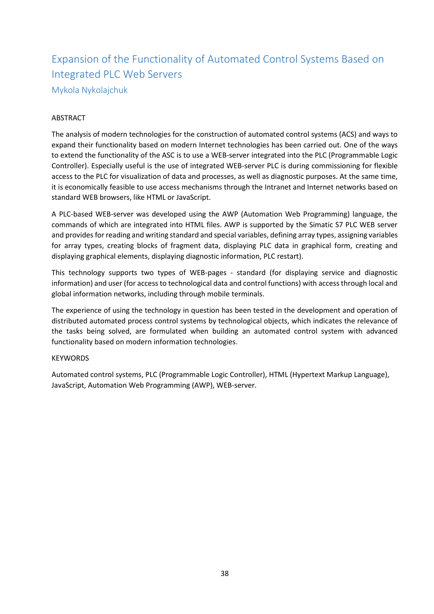### Expansion of the Functionality of Automated Control Systems Based on Integrated PLC Web Servers Mykola Nykolajchuk

#### ABSTRACT

The analysis of modern technologies for the construction of automated control systems (ACS) and ways to expand their functionality based on modern Internet technologies has been carried out. One of the ways to extend the functionality of the ASC is to use a WEB-server integrated into the PLC (Programmable Logic Controller). Especially useful is the use of integrated WEB-server PLC is during commissioning for flexible access to the PLC for visualization of data and processes, as well as diagnostic purposes. At the same time, it is economically feasible to use access mechanisms through the Intranet and Internet networks based on standard WEB browsers, like HTML or JavaScript.

A PLC-based WEB-server was developed using the AWP (Automation Web Programming) language, the commands of which are integrated into HTML files. AWP is supported by the Simatic S7 PLC WEB server and provides for reading and writing standard and special variables, defining array types, assigning variables for array types, creating blocks of fragment data, displaying PLC data in graphical form, creating and displaying graphical elements, displaying diagnostic information, PLC restart).

This technology supports two types of WEB-pages - standard (for displaying service and diagnostic information) and user (for access to technological data and control functions) with access through local and global information networks, including through mobile terminals.

The experience of using the technology in question has been tested in the development and operation of distributed automated process control systems by technological objects, which indicates the relevance of the tasks being solved, are formulated when building an automated control system with advanced functionality based on modern information technologies.

#### **KEYWORDS**

Automated control systems, PLC (Programmable Logic Controller), HTML (Hypertext Markup Language), JavaScript, Automation Web Programming (AWP), WEB-server.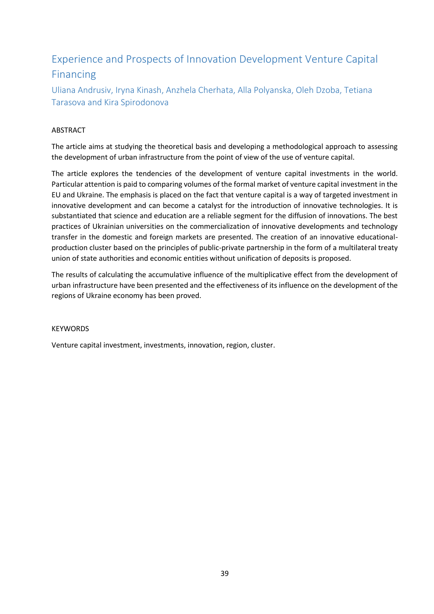### Experience and Prospects of Innovation Development Venture Capital Financing

Uliana Andrusiv, Iryna Kinash, Anzhela Cherhata, Alla Polyanska, Oleh Dzoba, Tetiana Tarasova and Kira Spirodonova

#### ABSTRACT

The article aims at studying the theoretical basis and developing a methodological approach to assessing the development of urban infrastructure from the point of view of the use of venture capital.

The article explores the tendencies of the development of venture capital investments in the world. Particular attention is paid to comparing volumes of the formal market of venture capital investment in the EU and Ukraine. The emphasis is placed on the fact that venture capital is a way of targeted investment in innovative development and can become a catalyst for the introduction of innovative technologies. It is substantiated that science and education are a reliable segment for the diffusion of innovations. The best practices of Ukrainian universities on the commercialization of innovative developments and technology transfer in the domestic and foreign markets are presented. The creation of an innovative educationalproduction cluster based on the principles of public-private partnership in the form of a multilateral treaty union of state authorities and economic entities without unification of deposits is proposed.

The results of calculating the accumulative influence of the multiplicative effect from the development of urban infrastructure have been presented and the effectiveness of its influence on the development of the regions of Ukraine economy has been proved.

#### KEYWORDS

Venture capital investment, investments, innovation, region, cluster.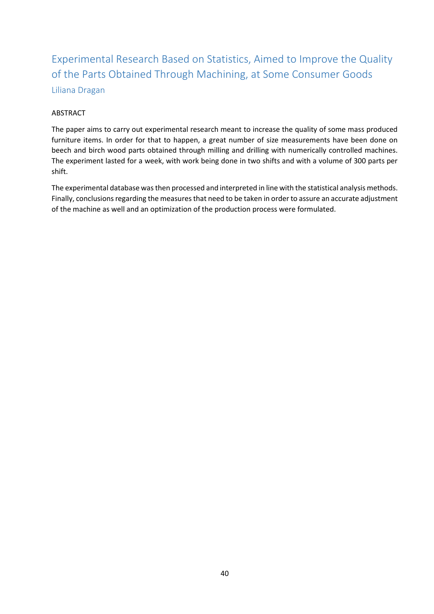Experimental Research Based on Statistics, Aimed to Improve the Quality of the Parts Obtained Through Machining, at Some Consumer Goods Liliana Dragan

#### ABSTRACT

The paper aims to carry out experimental research meant to increase the quality of some mass produced furniture items. In order for that to happen, a great number of size measurements have been done on beech and birch wood parts obtained through milling and drilling with numerically controlled machines. The experiment lasted for a week, with work being done in two shifts and with a volume of 300 parts per shift.

The experimental database was then processed and interpreted in line with the statistical analysis methods. Finally, conclusions regarding the measures that need to be taken in order to assure an accurate adjustment of the machine as well and an optimization of the production process were formulated.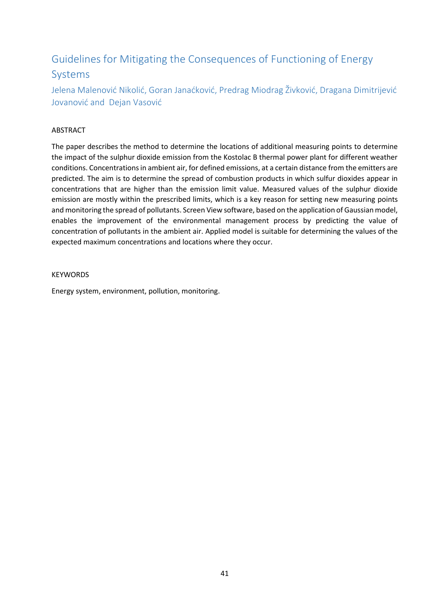### Guidelines for Mitigating the Consequences of Functioning of Energy Systems

Jelena Malenović Nikolić, Goran Janaćković, Predrag Miodrag Živković, Dragana Dimitrijević Jovanović and Dejan Vasović

#### ABSTRACT

The paper describes the method to determine the locations of additional measuring points to determine the impact of the sulphur dioxide emission from the Kostolac B thermal power plant for different weather conditions. Concentrations in ambient air, for defined emissions, at a certain distance from the emitters are predicted. The aim is to determine the spread of combustion products in which sulfur dioxides appear in concentrations that are higher than the emission limit value. Measured values of the sulphur dioxide emission are mostly within the prescribed limits, which is a key reason for setting new measuring points and monitoring the spread of pollutants. Screen View software, based on the application of Gaussian model, enables the improvement of the environmental management process by predicting the value of concentration of pollutants in the ambient air. Applied model is suitable for determining the values of the expected maximum concentrations and locations where they occur.

#### **KEYWORDS**

Energy system, environment, pollution, monitoring.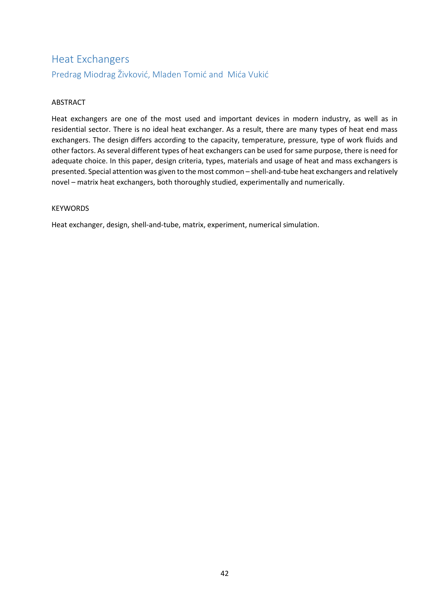### Heat Exchangers Predrag Miodrag Živković, Mladen Tomić and Mića Vukić

#### ABSTRACT

Heat exchangers are one of the most used and important devices in modern industry, as well as in residential sector. There is no ideal heat exchanger. As a result, there are many types of heat end mass exchangers. The design differs according to the capacity, temperature, pressure, type of work fluids and other factors. As several different types of heat exchangers can be used for same purpose, there is need for adequate choice. In this paper, design criteria, types, materials and usage of heat and mass exchangers is presented. Special attention was given to the most common – shell-and-tube heat exchangers and relatively novel – matrix heat exchangers, both thoroughly studied, experimentally and numerically.

#### **KEYWORDS**

Heat exchanger, design, shell-and-tube, matrix, experiment, numerical simulation.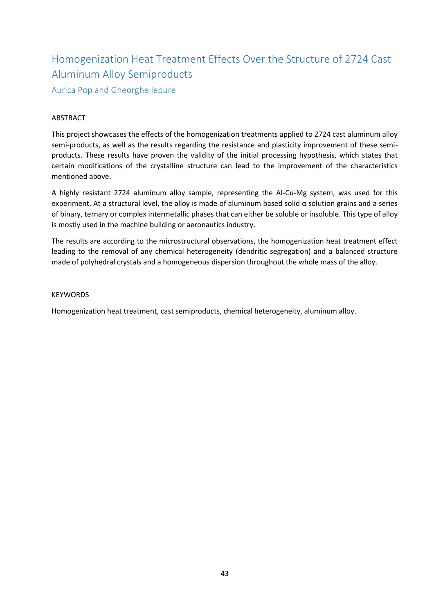# Homogenization Heat Treatment Effects Over the Structure of 2724 Cast Aluminum Alloy Semiproducts

Aurica Pop and Gheorghe Iepure

#### ABSTRACT

This project showcases the effects of the homogenization treatments applied to 2724 cast aluminum alloy semi-products, as well as the results regarding the resistance and plasticity improvement of these semiproducts. These results have proven the validity of the initial processing hypothesis, which states that certain modifications of the crystalline structure can lead to the improvement of the characteristics mentioned above.

A highly resistant 2724 aluminum alloy sample, representing the Al-Cu-Mg system, was used for this experiment. At a structural level, the alloy is made of aluminum based solid  $\alpha$  solution grains and a series of binary, ternary or complex intermetallic phases that can either be soluble or insoluble. This type of alloy is mostly used in the machine building or aeronautics industry.

The results are according to the microstructural observations, the homogenization heat treatment effect leading to the removal of any chemical heterogeneity (dendritic segregation) and a balanced structure made of polyhedral crystals and a homogeneous dispersion throughout the whole mass of the alloy.

#### KEYWORDS

Homogenization heat treatment, cast semiproducts, chemical heterogeneity, aluminum alloy.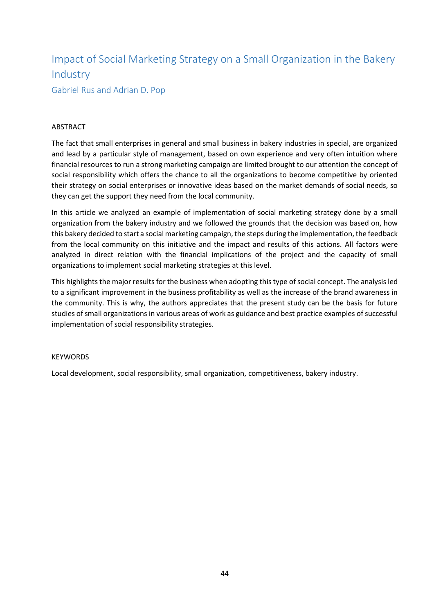### Impact of Social Marketing Strategy on a Small Organization in the Bakery Industry

Gabriel Rus and Adrian D. Pop

#### ABSTRACT

The fact that small enterprises in general and small business in bakery industries in special, are organized and lead by a particular style of management, based on own experience and very often intuition where financial resources to run a strong marketing campaign are limited brought to our attention the concept of social responsibility which offers the chance to all the organizations to become competitive by oriented their strategy on social enterprises or innovative ideas based on the market demands of social needs, so they can get the support they need from the local community.

In this article we analyzed an example of implementation of social marketing strategy done by a small organization from the bakery industry and we followed the grounds that the decision was based on, how this bakery decided to start a social marketing campaign, the steps during the implementation, the feedback from the local community on this initiative and the impact and results of this actions. All factors were analyzed in direct relation with the financial implications of the project and the capacity of small organizations to implement social marketing strategies at this level.

This highlights the major results for the business when adopting this type of social concept. The analysis led to a significant improvement in the business profitability as well as the increase of the brand awareness in the community. This is why, the authors appreciates that the present study can be the basis for future studies of small organizations in various areas of work as guidance and best practice examples of successful implementation of social responsibility strategies.

#### **KEYWORDS**

Local development, social responsibility, small organization, competitiveness, bakery industry.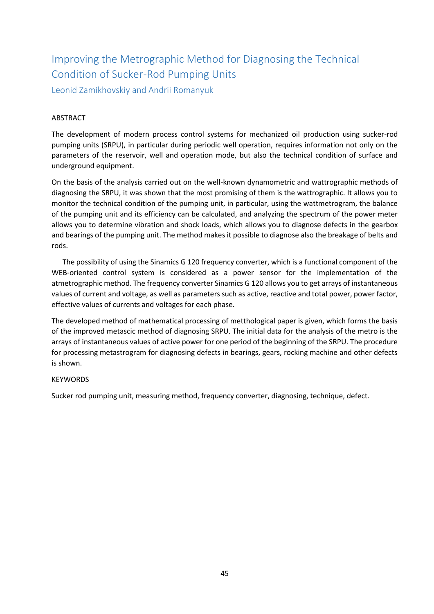### Improving the Metrographic Method for Diagnosing the Technical Condition of Sucker-Rod Pumping Units

Leonid Zamikhovskiy and Andrii Romanyuk

#### ABSTRACT

The development of modern process control systems for mechanized oil production using sucker-rod pumping units (SRPU), in particular during periodic well operation, requires information not only on the parameters of the reservoir, well and operation mode, but also the technical condition of surface and underground equipment.

On the basis of the analysis carried out on the well-known dynamometric and wattrographic methods of diagnosing the SRPU, it was shown that the most promising of them is the wattrographic. It allows you to monitor the technical condition of the pumping unit, in particular, using the wattmetrogram, the balance of the pumping unit and its efficiency can be calculated, and analyzing the spectrum of the power meter allows you to determine vibration and shock loads, which allows you to diagnose defects in the gearbox and bearings of the pumping unit. The method makes it possible to diagnose also the breakage of belts and rods.

 The possibility of using the Sinamics G 120 frequency converter, which is a functional component of the WEB-oriented control system is considered as a power sensor for the implementation of the atmetrographic method. The frequency converter Sinamics G 120 allows you to get arrays of instantaneous values of current and voltage, as well as parameters such as active, reactive and total power, power factor, effective values of currents and voltages for each phase.

The developed method of mathematical processing of metthological paper is given, which forms the basis of the improved metascic method of diagnosing SRPU. The initial data for the analysis of the metro is the arrays of instantaneous values of active power for one period of the beginning of the SRPU. The procedure for processing metastrogram for diagnosing defects in bearings, gears, rocking machine and other defects is shown.

#### **KEYWORDS**

Sucker rod pumping unit, measuring method, frequency converter, diagnosing, technique, defect.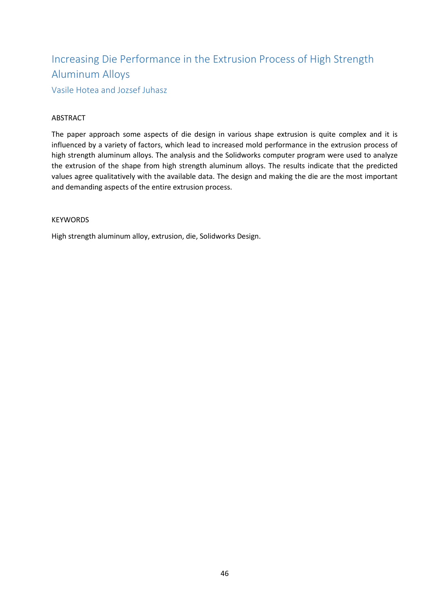### Increasing Die Performance in the Extrusion Process of High Strength Aluminum Alloys

Vasile Hotea and Jozsef Juhasz

#### ABSTRACT

The paper approach some aspects of die design in various shape extrusion is quite complex and it is influenced by a variety of factors, which lead to increased mold performance in the extrusion process of high strength aluminum alloys. The analysis and the Solidworks computer program were used to analyze the extrusion of the shape from high strength aluminum alloys. The results indicate that the predicted values agree qualitatively with the available data. The design and making the die are the most important and demanding aspects of the entire extrusion process.

#### **KEYWORDS**

High strength aluminum alloy, extrusion, die, Solidworks Design.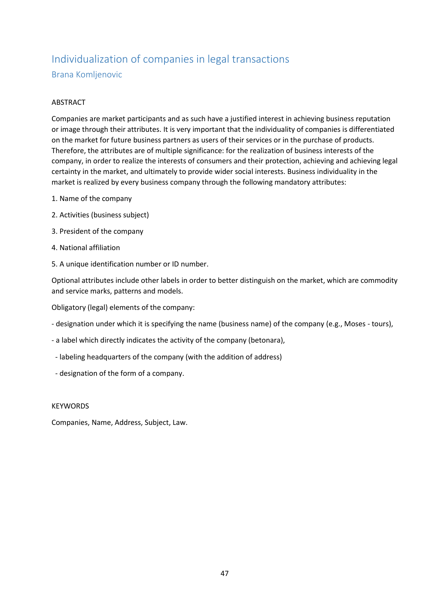### Individualization of companies in legal transactions Brana Komljenovic

#### ABSTRACT

Companies are market participants and as such have a justified interest in achieving business reputation or image through their attributes. It is very important that the individuality of companies is differentiated on the market for future business partners as users of their services or in the purchase of products. Therefore, the attributes are of multiple significance: for the realization of business interests of the company, in order to realize the interests of consumers and their protection, achieving and achieving legal certainty in the market, and ultimately to provide wider social interests. Business individuality in the market is realized by every business company through the following mandatory attributes:

- 1. Name of the company
- 2. Activities (business subject)
- 3. President of the company
- 4. National affiliation
- 5. A unique identification number or ID number.

Optional attributes include other labels in order to better distinguish on the market, which are commodity and service marks, patterns and models.

Obligatory (legal) elements of the company:

- designation under which it is specifying the name (business name) of the company (e.g., Moses tours),
- a label which directly indicates the activity of the company (betonara),
- labeling headquarters of the company (with the addition of address)
- designation of the form of a company.

#### **KEYWORDS**

Companies, Name, Address, Subject, Law.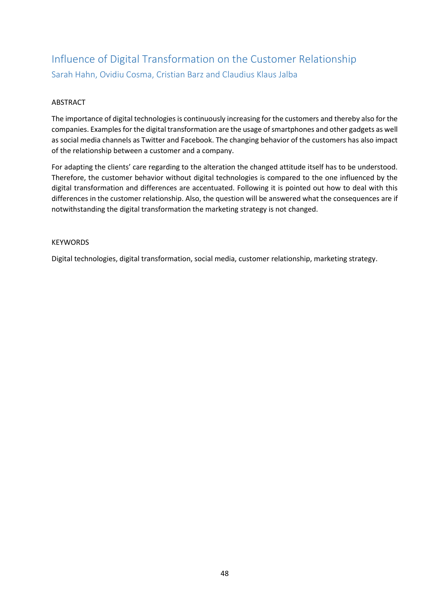### Influence of Digital Transformation on the Customer Relationship Sarah Hahn, Ovidiu Cosma, Cristian Barz and Claudius Klaus Jalba

#### ABSTRACT

The importance of digital technologies is continuously increasing for the customers and thereby also for the companies. Examples for the digital transformation are the usage of smartphones and other gadgets as well as social media channels as Twitter and Facebook. The changing behavior of the customers has also impact of the relationship between a customer and a company.

For adapting the clients' care regarding to the alteration the changed attitude itself has to be understood. Therefore, the customer behavior without digital technologies is compared to the one influenced by the digital transformation and differences are accentuated. Following it is pointed out how to deal with this differences in the customer relationship. Also, the question will be answered what the consequences are if notwithstanding the digital transformation the marketing strategy is not changed.

#### KEYWORDS

Digital technologies, digital transformation, social media, customer relationship, marketing strategy.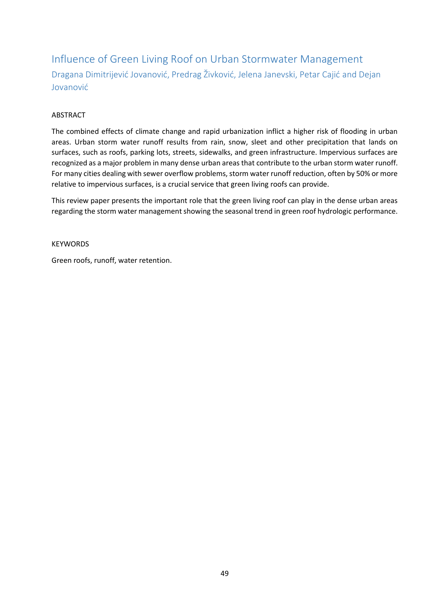Influence of Green Living Roof on Urban Stormwater Management Dragana Dimitrijević Jovanović, Predrag Živković, Jelena Janevski, Petar Cajić and Dejan Jovanović

#### ABSTRACT

The combined effects of climate change and rapid urbanization inflict a higher risk of flooding in urban areas. Urban storm water runoff results from rain, snow, sleet and other precipitation that lands on surfaces, such as roofs, parking lots, streets, sidewalks, and green infrastructure. Impervious surfaces are recognized as a major problem in many dense urban areas that contribute to the urban storm water runoff. For many cities dealing with sewer overflow problems, storm water runoff reduction, often by 50% or more relative to impervious surfaces, is a crucial service that green living roofs can provide.

This review paper presents the important role that the green living roof can play in the dense urban areas regarding the storm water management showing the seasonal trend in green roof hydrologic performance.

**KEYWORDS** 

Green roofs, runoff, water retention.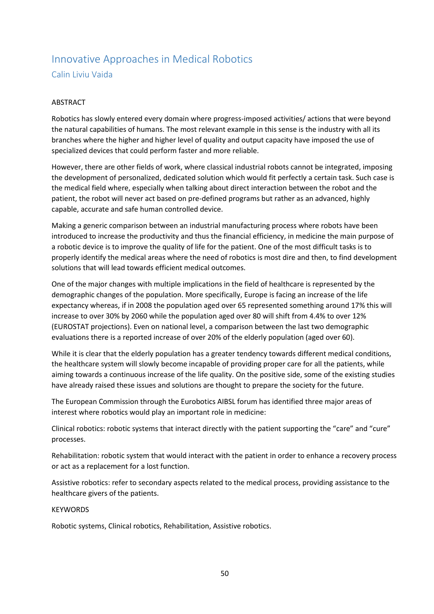### Innovative Approaches in Medical Robotics Calin Liviu Vaida

#### ABSTRACT

Robotics has slowly entered every domain where progress-imposed activities/ actions that were beyond the natural capabilities of humans. The most relevant example in this sense is the industry with all its branches where the higher and higher level of quality and output capacity have imposed the use of specialized devices that could perform faster and more reliable.

However, there are other fields of work, where classical industrial robots cannot be integrated, imposing the development of personalized, dedicated solution which would fit perfectly a certain task. Such case is the medical field where, especially when talking about direct interaction between the robot and the patient, the robot will never act based on pre-defined programs but rather as an advanced, highly capable, accurate and safe human controlled device.

Making a generic comparison between an industrial manufacturing process where robots have been introduced to increase the productivity and thus the financial efficiency, in medicine the main purpose of a robotic device is to improve the quality of life for the patient. One of the most difficult tasks is to properly identify the medical areas where the need of robotics is most dire and then, to find development solutions that will lead towards efficient medical outcomes.

One of the major changes with multiple implications in the field of healthcare is represented by the demographic changes of the population. More specifically, Europe is facing an increase of the life expectancy whereas, if in 2008 the population aged over 65 represented something around 17% this will increase to over 30% by 2060 while the population aged over 80 will shift from 4.4% to over 12% (EUROSTAT projections). Even on national level, a comparison between the last two demographic evaluations there is a reported increase of over 20% of the elderly population (aged over 60).

While it is clear that the elderly population has a greater tendency towards different medical conditions, the healthcare system will slowly become incapable of providing proper care for all the patients, while aiming towards a continuous increase of the life quality. On the positive side, some of the existing studies have already raised these issues and solutions are thought to prepare the society for the future.

The European Commission through the Eurobotics AIBSL forum has identified three major areas of interest where robotics would play an important role in medicine:

Clinical robotics: robotic systems that interact directly with the patient supporting the "care" and "cure" processes.

Rehabilitation: robotic system that would interact with the patient in order to enhance a recovery process or act as a replacement for a lost function.

Assistive robotics: refer to secondary aspects related to the medical process, providing assistance to the healthcare givers of the patients.

#### **KEYWORDS**

Robotic systems, Clinical robotics, Rehabilitation, Assistive robotics.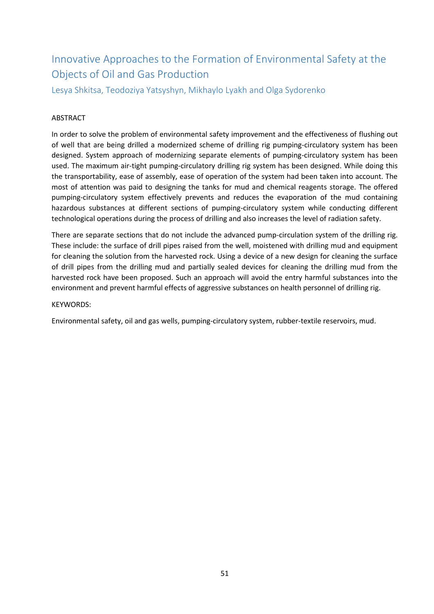### Innovative Approaches to the Formation of Environmental Safety at the Objects of Oil and Gas Production

Lesya Shkitsa, Teodoziya Yatsyshyn, Mikhaylo Lyakh and Olga Sydorenko

#### ABSTRACT

In order to solve the problem of environmental safety improvement and the effectiveness of flushing out of well that are being drilled a modernized scheme of drilling rig pumping-circulatory system has been designed. System approach of modernizing separate elements of pumping-circulatory system has been used. The maximum air-tight pumping-circulatory drilling rig system has been designed. While doing this the transportability, ease of assembly, ease of operation of the system had been taken into account. The most of attention was paid to designing the tanks for mud and chemical reagents storage. The offered pumping-circulatory system effectively prevents and reduces the evaporation of the mud containing hazardous substances at different sections of pumping-circulatory system while conducting different technological operations during the process of drilling and also increases the level of radiation safety.

There are separate sections that do not include the advanced pump-circulation system of the drilling rig. These include: the surface of drill pipes raised from the well, moistened with drilling mud and equipment for cleaning the solution from the harvested rock. Using a device of a new design for cleaning the surface of drill pipes from the drilling mud and partially sealed devices for cleaning the drilling mud from the harvested rock have been proposed. Such an approach will avoid the entry harmful substances into the environment and prevent harmful effects of aggressive substances on health personnel of drilling rig.

#### KEYWORDS:

Environmental safety, oil and gas wells, pumping-circulatory system, rubber-textile reservoirs, mud.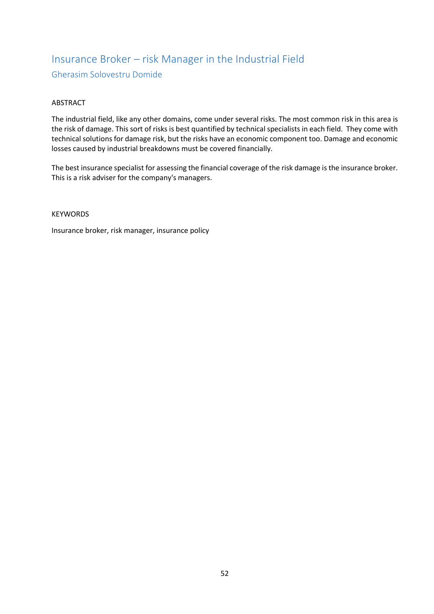### Insurance Broker – risk Manager in the Industrial Field Gherasim Solovestru Domide

#### ABSTRACT

The industrial field, like any other domains, come under several risks. The most common risk in this area is the risk of damage. This sort of risks is best quantified by technical specialists in each field. They come with technical solutions for damage risk, but the risks have an economic component too. Damage and economic losses caused by industrial breakdowns must be covered financially.

The best insurance specialist for assessing the financial coverage of the risk damage is the insurance broker. This is a risk adviser for the company's managers.

#### KEYWORDS

Insurance broker, risk manager, insurance policy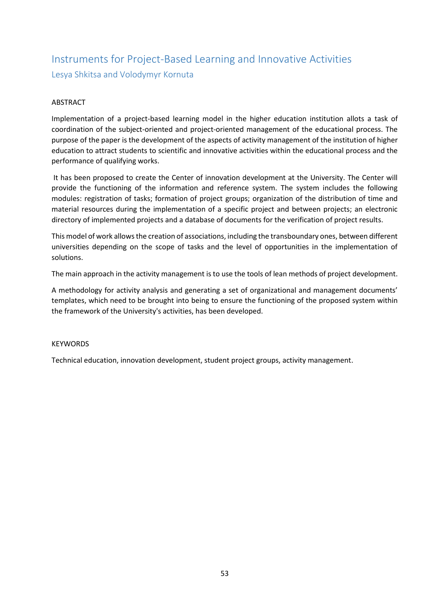### Instruments for Project-Based Learning and Innovative Activities Lesya Shkitsa and Volodymyr Kornuta

#### ABSTRACT

Implementation of a project-based learning model in the higher education institution allots a task of coordination of the subject-oriented and project-oriented management of the educational process. The purpose of the paper is the development of the aspects of activity management of the institution of higher education to attract students to scientific and innovative activities within the educational process and the performance of qualifying works.

It has been proposed to create the Center of innovation development at the University. The Center will provide the functioning of the information and reference system. The system includes the following modules: registration of tasks; formation of project groups; organization of the distribution of time and material resources during the implementation of a specific project and between projects; an electronic directory of implemented projects and a database of documents for the verification of project results.

This model of work allows the creation of associations, including the transboundary ones, between different universities depending on the scope of tasks and the level of opportunities in the implementation of solutions.

The main approach in the activity management is to use the tools of lean methods of project development.

A methodology for activity analysis and generating a set of organizational and management documents' templates, which need to be brought into being to ensure the functioning of the proposed system within the framework of the University's activities, has been developed.

#### KEYWORDS

Technical education, innovation development, student project groups, activity management.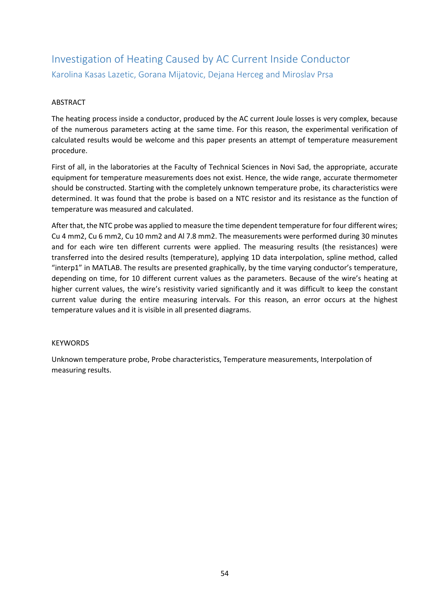### Investigation of Heating Caused by AC Current Inside Conductor Karolina Kasas Lazetic, Gorana Mijatovic, Dejana Herceg and Miroslav Prsa

#### ABSTRACT

The heating process inside a conductor, produced by the AC current Joule losses is very complex, because of the numerous parameters acting at the same time. For this reason, the experimental verification of calculated results would be welcome and this paper presents an attempt of temperature measurement procedure.

First of all, in the laboratories at the Faculty of Technical Sciences in Novi Sad, the appropriate, accurate equipment for temperature measurements does not exist. Hence, the wide range, accurate thermometer should be constructed. Starting with the completely unknown temperature probe, its characteristics were determined. It was found that the probe is based on a NTC resistor and its resistance as the function of temperature was measured and calculated.

After that, the NTC probe was applied to measure the time dependent temperature for four different wires; Cu 4 mm2, Cu 6 mm2, Cu 10 mm2 and Al 7.8 mm2. The measurements were performed during 30 minutes and for each wire ten different currents were applied. The measuring results (the resistances) were transferred into the desired results (temperature), applying 1D data interpolation, spline method, called "interp1" in MATLAB. The results are presented graphically, by the time varying conductor's temperature, depending on time, for 10 different current values as the parameters. Because of the wire's heating at higher current values, the wire's resistivity varied significantly and it was difficult to keep the constant current value during the entire measuring intervals. For this reason, an error occurs at the highest temperature values and it is visible in all presented diagrams.

#### KEYWORDS

Unknown temperature probe, Probe characteristics, Temperature measurements, Interpolation of measuring results.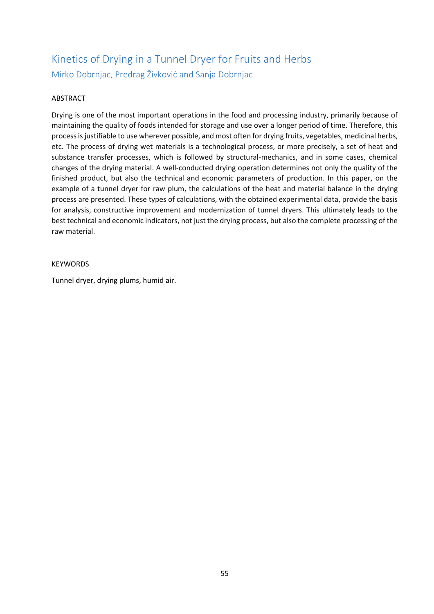### Kinetics of Drying in a Tunnel Dryer for Fruits and Herbs Mirko Dobrnjac, Predrag Živković and Sanja Dobrnjac

#### ABSTRACT

Drying is one of the most important operations in the food and processing industry, primarily because of maintaining the quality of foods intended for storage and use over a longer period of time. Therefore, this process is justifiable to use wherever possible, and most often for drying fruits, vegetables, medicinal herbs, etc. The process of drying wet materials is a technological process, or more precisely, a set of heat and substance transfer processes, which is followed by structural-mechanics, and in some cases, chemical changes of the drying material. A well-conducted drying operation determines not only the quality of the finished product, but also the technical and economic parameters of production. In this paper, on the example of a tunnel dryer for raw plum, the calculations of the heat and material balance in the drying process are presented. These types of calculations, with the obtained experimental data, provide the basis for analysis, constructive improvement and modernization of tunnel dryers. This ultimately leads to the best technical and economic indicators, not just the drying process, but also the complete processing of the raw material.

#### KEYWORDS

Tunnel dryer, drying plums, humid air.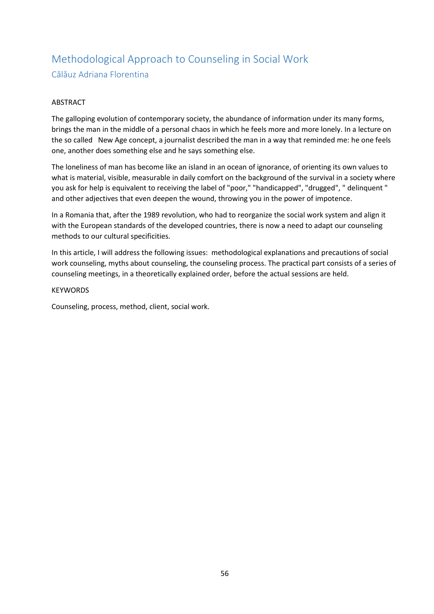### Methodological Approach to Counseling in Social Work Călăuz Adriana Florentina

#### ABSTRACT

The galloping evolution of contemporary society, the abundance of information under its many forms, brings the man in the middle of a personal chaos in which he feels more and more lonely. In a lecture on the so called New Age concept, a journalist described the man in a way that reminded me: he one feels one, another does something else and he says something else.

The loneliness of man has become like an island in an ocean of ignorance, of orienting its own values to what is material, visible, measurable in daily comfort on the background of the survival in a society where you ask for help is equivalent to receiving the label of "poor," "handicapped", "drugged", " delinquent " and other adjectives that even deepen the wound, throwing you in the power of impotence.

In a Romania that, after the 1989 revolution, who had to reorganize the social work system and align it with the European standards of the developed countries, there is now a need to adapt our counseling methods to our cultural specificities.

In this article, I will address the following issues: methodological explanations and precautions of social work counseling, myths about counseling, the counseling process. The practical part consists of a series of counseling meetings, in a theoretically explained order, before the actual sessions are held.

#### KEYWORDS

Counseling, process, method, client, social work.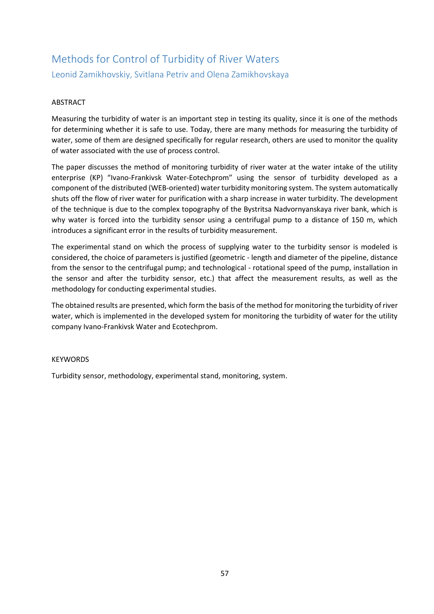### Methods for Control of Turbidity of River Waters Leonid Zamikhovskiy, Svitlana Petriv and Olena Zamikhovskaya

#### ABSTRACT

Measuring the turbidity of water is an important step in testing its quality, since it is one of the methods for determining whether it is safe to use. Today, there are many methods for measuring the turbidity of water, some of them are designed specifically for regular research, others are used to monitor the quality of water associated with the use of process control.

The paper discusses the method of monitoring turbidity of river water at the water intake of the utility enterprise (KP) "Ivano-Frankivsk Water-Eotechprom" using the sensor of turbidity developed as a component of the distributed (WEB-oriented) water turbidity monitoring system. The system automatically shuts off the flow of river water for purification with a sharp increase in water turbidity. The development of the technique is due to the complex topography of the Bystritsa Nadvornyanskaya river bank, which is why water is forced into the turbidity sensor using a centrifugal pump to a distance of 150 m, which introduces a significant error in the results of turbidity measurement.

The experimental stand on which the process of supplying water to the turbidity sensor is modeled is considered, the choice of parameters is justified (geometric - length and diameter of the pipeline, distance from the sensor to the centrifugal pump; and technological - rotational speed of the pump, installation in the sensor and after the turbidity sensor, etc.) that affect the measurement results, as well as the methodology for conducting experimental studies.

The obtained results are presented, which form the basis of the method for monitoring the turbidity of river water, which is implemented in the developed system for monitoring the turbidity of water for the utility company Ivano-Frankivsk Water and Ecotechprom.

#### **KEYWORDS**

Turbidity sensor, methodology, experimental stand, monitoring, system.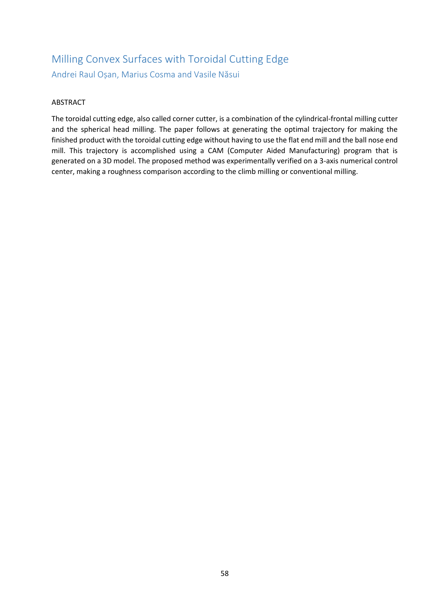### Milling Convex Surfaces with Toroidal Cutting Edge Andrei Raul Oșan, Marius Cosma and Vasile Năsui

#### ABSTRACT

The toroidal cutting edge, also called corner cutter, is a combination of the cylindrical-frontal milling cutter and the spherical head milling. The paper follows at generating the optimal trajectory for making the finished product with the toroidal cutting edge without having to use the flat end mill and the ball nose end mill. This trajectory is accomplished using a CAM (Computer Aided Manufacturing) program that is generated on a 3D model. The proposed method was experimentally verified on a 3-axis numerical control center, making a roughness comparison according to the climb milling or conventional milling.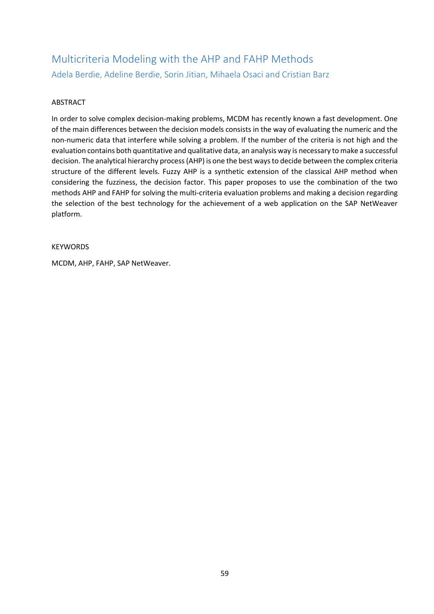### Multicriteria Modeling with the AHP and FAHP Methods Adela Berdie, Adeline Berdie, Sorin Jitian, Mihaela Osaci and Cristian Barz

#### ABSTRACT

In order to solve complex decision-making problems, MCDM has recently known a fast development. One of the main differences between the decision models consists in the way of evaluating the numeric and the non-numeric data that interfere while solving a problem. If the number of the criteria is not high and the evaluation contains both quantitative and qualitative data, an analysis way is necessary to make a successful decision. The analytical hierarchy process (AHP) is one the best ways to decide between the complex criteria structure of the different levels. Fuzzy AHP is a synthetic extension of the classical AHP method when considering the fuzziness, the decision factor. This paper proposes to use the combination of the two methods AHP and FAHP for solving the multi-criteria evaluation problems and making a decision regarding the selection of the best technology for the achievement of a web application on the SAP NetWeaver platform.

#### **KEYWORDS**

MCDM, AHP, FAHP, SAP NetWeaver.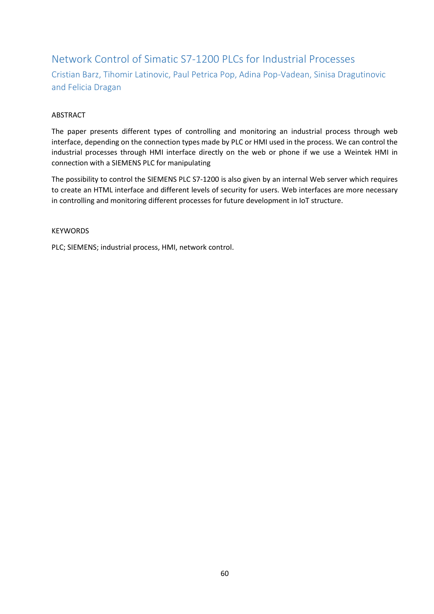### Network Control of Simatic S7-1200 PLCs for Industrial Processes Cristian Barz, Tihomir Latinovic, Paul Petrica Pop, Adina Pop-Vadean, Sinisa Dragutinovic and Felicia Dragan

#### ABSTRACT

The paper presents different types of controlling and monitoring an industrial process through web interface, depending on the connection types made by PLC or HMI used in the process. We can control the industrial processes through HMI interface directly on the web or phone if we use a Weintek HMI in connection with a SIEMENS PLC for manipulating

The possibility to control the SIEMENS PLC S7-1200 is also given by an internal Web server which requires to create an HTML interface and different levels of security for users. Web interfaces are more necessary in controlling and monitoring different processes for future development in IoT structure.

**KEYWORDS** 

PLC; SIEMENS; industrial process, HMI, network control.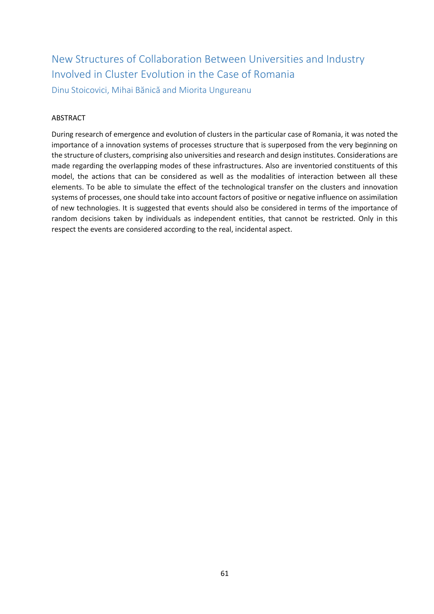### New Structures of Collaboration Between Universities and Industry Involved in Cluster Evolution in the Case of Romania Dinu Stoicovici, Mihai Bănică and Miorita Ungureanu

#### **ABSTRACT**

During research of emergence and evolution of clusters in the particular case of Romania, it was noted the importance of a innovation systems of processes structure that is superposed from the very beginning on the structure of clusters, comprising also universities and research and design institutes. Considerations are made regarding the overlapping modes of these infrastructures. Also are inventoried constituents of this model, the actions that can be considered as well as the modalities of interaction between all these elements. To be able to simulate the effect of the technological transfer on the clusters and innovation systems of processes, one should take into account factors of positive or negative influence on assimilation of new technologies. It is suggested that events should also be considered in terms of the importance of random decisions taken by individuals as independent entities, that cannot be restricted. Only in this respect the events are considered according to the real, incidental aspect.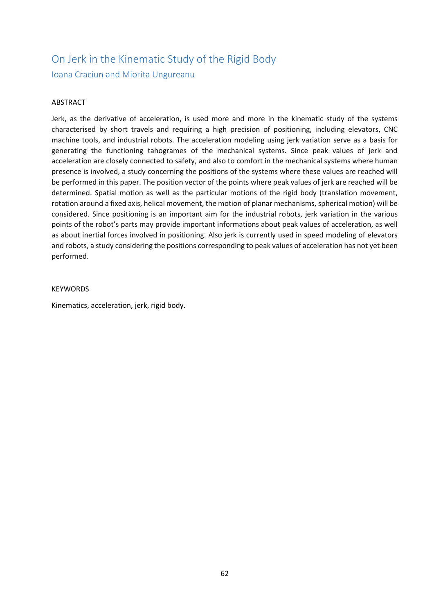### On Jerk in the Kinematic Study of the Rigid Body Ioana Craciun and Miorita Ungureanu

#### ABSTRACT

Jerk, as the derivative of acceleration, is used more and more in the kinematic study of the systems characterised by short travels and requiring a high precision of positioning, including elevators, CNC machine tools, and industrial robots. The acceleration modeling using jerk variation serve as a basis for generating the functioning tahogrames of the mechanical systems. Since peak values of jerk and acceleration are closely connected to safety, and also to comfort in the mechanical systems where human presence is involved, a study concerning the positions of the systems where these values are reached will be performed in this paper. The position vector of the points where peak values of jerk are reached will be determined. Spatial motion as well as the particular motions of the rigid body (translation movement, rotation around a fixed axis, helical movement, the motion of planar mechanisms, spherical motion) will be considered. Since positioning is an important aim for the industrial robots, jerk variation in the various points of the robot's parts may provide important informations about peak values of acceleration, as well as about inertial forces involved in positioning. Also jerk is currently used in speed modeling of elevators and robots, a study considering the positions corresponding to peak values of acceleration has not yet been performed.

#### **KEYWORDS**

Kinematics, acceleration, jerk, rigid body.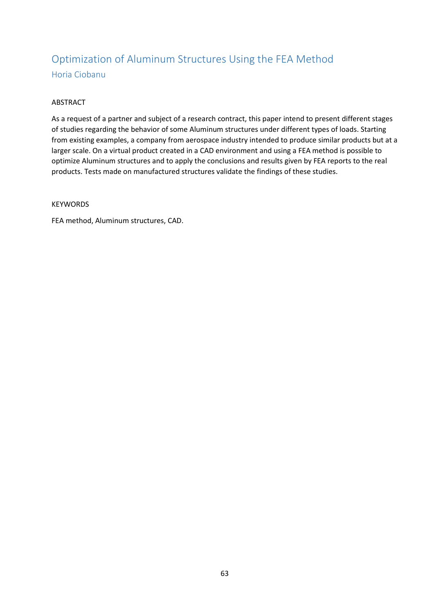### Optimization of Aluminum Structures Using the FEA Method Horia Ciobanu

#### ABSTRACT

As a request of a partner and subject of a research contract, this paper intend to present different stages of studies regarding the behavior of some Aluminum structures under different types of loads. Starting from existing examples, a company from aerospace industry intended to produce similar products but at a larger scale. On a virtual product created in a CAD environment and using a FEA method is possible to optimize Aluminum structures and to apply the conclusions and results given by FEA reports to the real products. Tests made on manufactured structures validate the findings of these studies.

#### **KEYWORDS**

FEA method, Aluminum structures, CAD.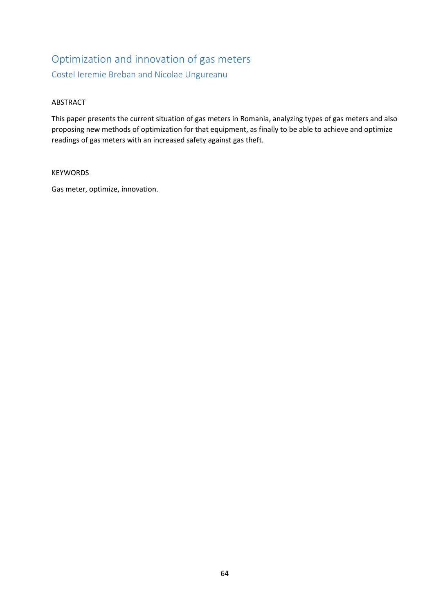### Optimization and innovation of gas meters Costel Ieremie Breban and Nicolae Ungureanu

#### ABSTRACT

This paper presents the current situation of gas meters in Romania, analyzing types of gas meters and also proposing new methods of optimization for that equipment, as finally to be able to achieve and optimize readings of gas meters with an increased safety against gas theft.

#### KEYWORDS

Gas meter, optimize, innovation.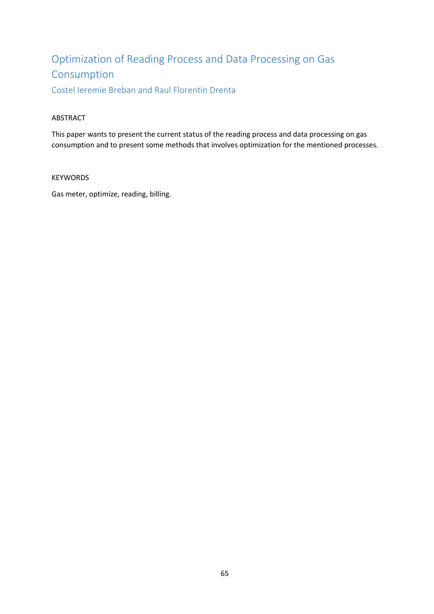# Optimization of Reading Process and Data Processing on Gas Consumption

Costel Ieremie Breban and Raul Florentin Drenta

#### ABSTRACT

This paper wants to present the current status of the reading process and data processing on gas consumption and to present some methods that involves optimization for the mentioned processes.

#### KEYWORDS

Gas meter, optimize, reading, billing.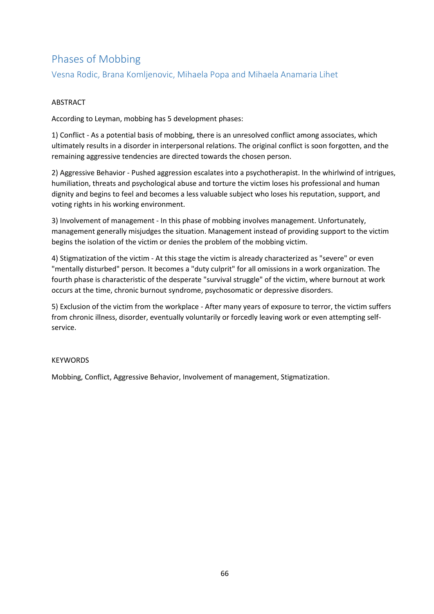### Phases of Mobbing

Vesna Rodic, Brana Komljenovic, Mihaela Popa and Mihaela Anamaria Lihet

#### ABSTRACT

According to Leyman, mobbing has 5 development phases:

1) Conflict - As a potential basis of mobbing, there is an unresolved conflict among associates, which ultimately results in a disorder in interpersonal relations. The original conflict is soon forgotten, and the remaining aggressive tendencies are directed towards the chosen person.

2) Aggressive Behavior - Pushed aggression escalates into a psychotherapist. In the whirlwind of intrigues, humiliation, threats and psychological abuse and torture the victim loses his professional and human dignity and begins to feel and becomes a less valuable subject who loses his reputation, support, and voting rights in his working environment.

3) Involvement of management - In this phase of mobbing involves management. Unfortunately, management generally misjudges the situation. Management instead of providing support to the victim begins the isolation of the victim or denies the problem of the mobbing victim.

4) Stigmatization of the victim - At this stage the victim is already characterized as "severe" or even "mentally disturbed" person. It becomes a "duty culprit" for all omissions in a work organization. The fourth phase is characteristic of the desperate "survival struggle" of the victim, where burnout at work occurs at the time, chronic burnout syndrome, psychosomatic or depressive disorders.

5) Exclusion of the victim from the workplace - After many years of exposure to terror, the victim suffers from chronic illness, disorder, eventually voluntarily or forcedly leaving work or even attempting selfservice.

#### **KEYWORDS**

Mobbing, Conflict, Aggressive Behavior, Involvement of management, Stigmatization.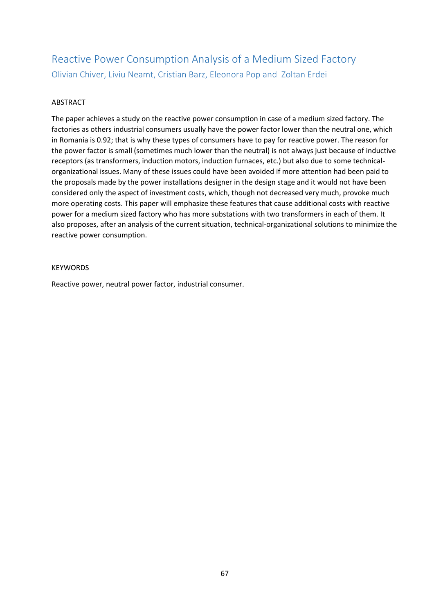### Reactive Power Consumption Analysis of a Medium Sized Factory Olivian Chiver, Liviu Neamt, Cristian Barz, Eleonora Pop and Zoltan Erdei

#### ABSTRACT

The paper achieves a study on the reactive power consumption in case of a medium sized factory. The factories as others industrial consumers usually have the power factor lower than the neutral one, which in Romania is 0.92; that is why these types of consumers have to pay for reactive power. The reason for the power factor is small (sometimes much lower than the neutral) is not always just because of inductive receptors (as transformers, induction motors, induction furnaces, etc.) but also due to some technicalorganizational issues. Many of these issues could have been avoided if more attention had been paid to the proposals made by the power installations designer in the design stage and it would not have been considered only the aspect of investment costs, which, though not decreased very much, provoke much more operating costs. This paper will emphasize these features that cause additional costs with reactive power for a medium sized factory who has more substations with two transformers in each of them. It also proposes, after an analysis of the current situation, technical-organizational solutions to minimize the reactive power consumption.

#### **KEYWORDS**

Reactive power, neutral power factor, industrial consumer.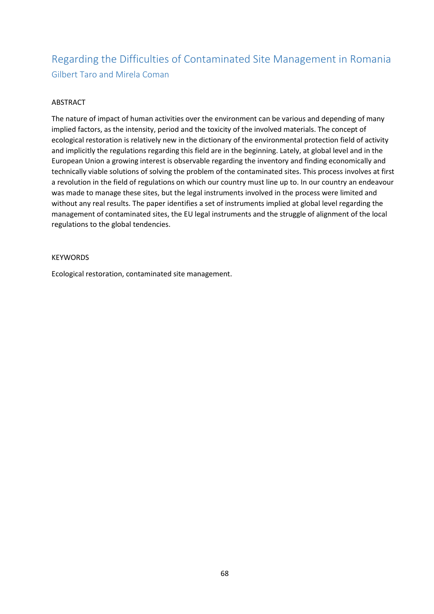### Regarding the Difficulties of Contaminated Site Management in Romania Gilbert Taro and Mirela Coman

#### ABSTRACT

The nature of impact of human activities over the environment can be various and depending of many implied factors, as the intensity, period and the toxicity of the involved materials. The concept of ecological restoration is relatively new in the dictionary of the environmental protection field of activity and implicitly the regulations regarding this field are in the beginning. Lately, at global level and in the European Union a growing interest is observable regarding the inventory and finding economically and technically viable solutions of solving the problem of the contaminated sites. This process involves at first a revolution in the field of regulations on which our country must line up to. In our country an endeavour was made to manage these sites, but the legal instruments involved in the process were limited and without any real results. The paper identifies a set of instruments implied at global level regarding the management of contaminated sites, the EU legal instruments and the struggle of alignment of the local regulations to the global tendencies.

#### **KEYWORDS**

Ecological restoration, contaminated site management.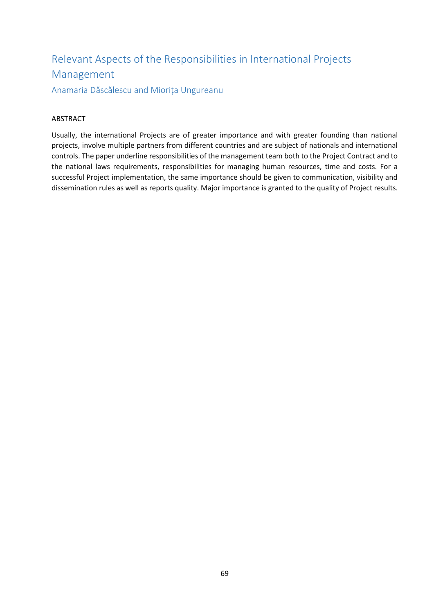## Relevant Aspects of the Responsibilities in International Projects Management

Anamaria Dăscălescu and Miorița Ungureanu

#### ABSTRACT

Usually, the international Projects are of greater importance and with greater founding than national projects, involve multiple partners from different countries and are subject of nationals and international controls. The paper underline responsibilities of the management team both to the Project Contract and to the national laws requirements, responsibilities for managing human resources, time and costs. For a successful Project implementation, the same importance should be given to communication, visibility and dissemination rules as well as reports quality. Major importance is granted to the quality of Project results.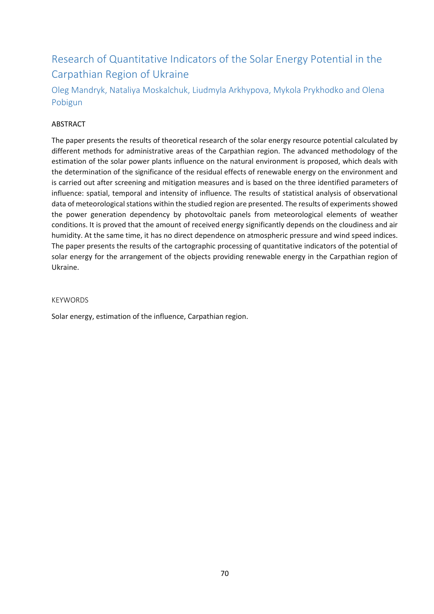### Research of Quantitative Indicators of the Solar Energy Potential in the Carpathian Region of Ukraine

Oleg Mandryk, Nataliya Moskalchuk, Liudmyla Arkhypova, Mykola Prykhodko and Olena Pobigun

#### ABSTRACT

The paper presents the results of theoretical research of the solar energy resource potential calculated by different methods for administrative areas of the Carpathian region. The advanced methodology of the estimation of the solar power plants influence on the natural environment is proposed, which deals with the determination of the significance of the residual effects of renewable energy on the environment and is carried out after screening and mitigation measures and is based on the three identified parameters of influence: spatial, temporal and intensity of influence. The results of statistical analysis of observational data of meteorological stations within the studied region are presented. The results of experiments showed the power generation dependency by photovoltaic panels from meteorological elements of weather conditions. It is proved that the amount of received energy significantly depends on the cloudiness and air humidity. At the same time, it has no direct dependence on atmospheric pressure and wind speed indices. The paper presents the results of the cartographic processing of quantitative indicators of the potential of solar energy for the arrangement of the objects providing renewable energy in the Carpathian region of Ukraine.

#### KEYWORDS

Solar energy, estimation of the influence, Carpathian region.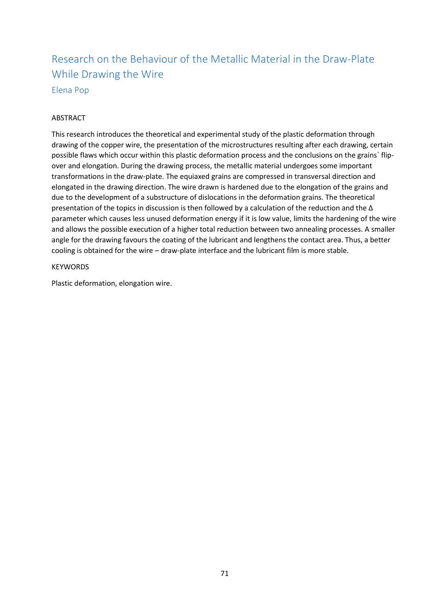### Research on the Behaviour of the Metallic Material in the Draw-Plate While Drawing the Wire Elena Pop

#### **ABSTRACT**

This research introduces the theoretical and experimental study of the plastic deformation through drawing of the copper wire, the presentation of the microstructures resulting after each drawing, certain possible flaws which occur within this plastic deformation process and the conclusions on the grains` flipover and elongation. During the drawing process, the metallic material undergoes some important transformations in the draw-plate. The equiaxed grains are compressed in transversal direction and elongated in the drawing direction. The wire drawn is hardened due to the elongation of the grains and due to the development of a substructure of dislocations in the deformation grains. The theoretical presentation of the topics in discussion is then followed by a calculation of the reduction and the Δ parameter which causes less unused deformation energy if it is low value, limits the hardening of the wire and allows the possible execution of a higher total reduction between two annealing processes. A smaller angle for the drawing favours the coating of the lubricant and lengthens the contact area. Thus, a better cooling is obtained for the wire – draw-plate interface and the lubricant film is more stable.

#### **KEYWORDS**

Plastic deformation, elongation wire.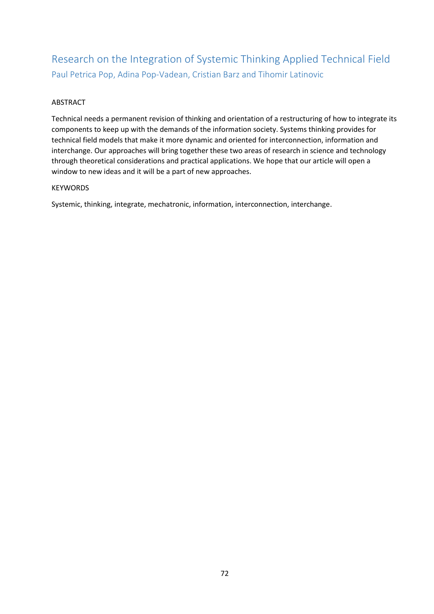### Research on the Integration of Systemic Thinking Applied Technical Field Paul Petrica Pop, Adina Pop-Vadean, Cristian Barz and Tihomir Latinovic

#### ABSTRACT

Technical needs a permanent revision of thinking and orientation of a restructuring of how to integrate its components to keep up with the demands of the information society. Systems thinking provides for technical field models that make it more dynamic and oriented for interconnection, information and interchange. Our approaches will bring together these two areas of research in science and technology through theoretical considerations and practical applications. We hope that our article will open a window to new ideas and it will be a part of new approaches.

#### KEYWORDS

Systemic, thinking, integrate, mechatronic, information, interconnection, interchange.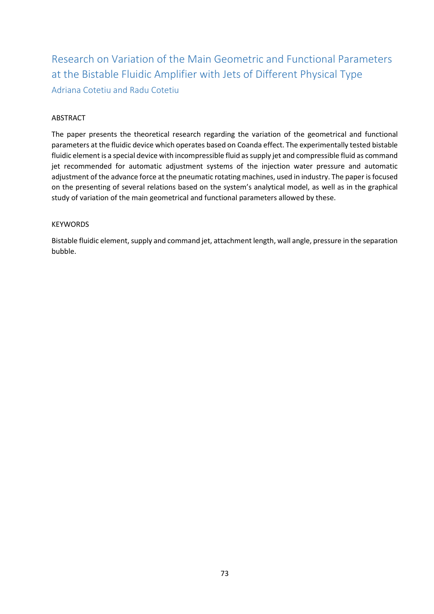Research on Variation of the Main Geometric and Functional Parameters at the Bistable Fluidic Amplifier with Jets of Different Physical Type Adriana Cotetiu and Radu Cotetiu

### ABSTRACT

The paper presents the theoretical research regarding the variation of the geometrical and functional parameters at the fluidic device which operates based on Coanda effect. The experimentally tested bistable fluidic element is a special device with incompressible fluid as supply jet and compressible fluid as command jet recommended for automatic adjustment systems of the injection water pressure and automatic adjustment of the advance force at the pneumatic rotating machines, used in industry. The paper is focused on the presenting of several relations based on the system's analytical model, as well as in the graphical study of variation of the main geometrical and functional parameters allowed by these.

#### KEYWORDS

Bistable fluidic element, supply and command jet, attachment length, wall angle, pressure in the separation bubble.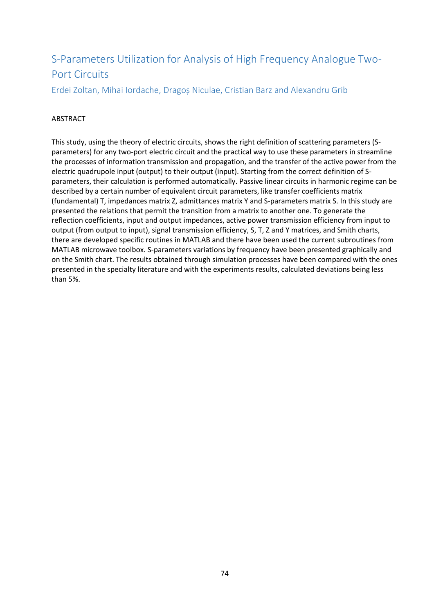# S-Parameters Utilization for Analysis of High Frequency Analogue Two-Port Circuits

Erdei Zoltan, Mihai Iordache, Dragoș Niculae, Cristian Barz and Alexandru Grib

### ABSTRACT

This study, using the theory of electric circuits, shows the right definition of scattering parameters (Sparameters) for any two-port electric circuit and the practical way to use these parameters in streamline the processes of information transmission and propagation, and the transfer of the active power from the electric quadrupole input (output) to their output (input). Starting from the correct definition of Sparameters, their calculation is performed automatically. Passive linear circuits in harmonic regime can be described by a certain number of equivalent circuit parameters, like transfer coefficients matrix (fundamental) T, impedances matrix Z, admittances matrix Y and S-parameters matrix S. In this study are presented the relations that permit the transition from a matrix to another one. To generate the reflection coefficients, input and output impedances, active power transmission efficiency from input to output (from output to input), signal transmission efficiency, S, T, Z and Y matrices, and Smith charts, there are developed specific routines in MATLAB and there have been used the current subroutines from MATLAB microwave toolbox. S-parameters variations by frequency have been presented graphically and on the Smith chart. The results obtained through simulation processes have been compared with the ones presented in the specialty literature and with the experiments results, calculated deviations being less than 5%.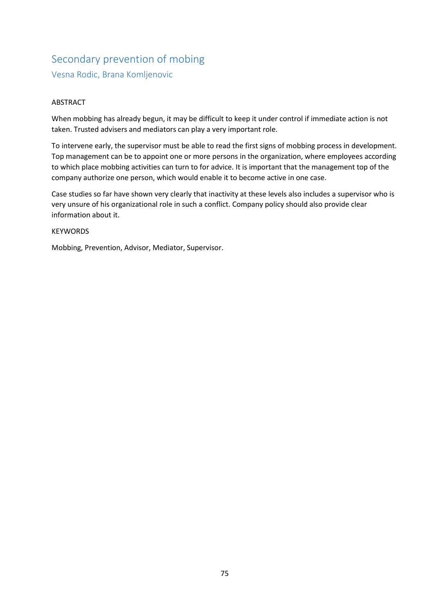# Secondary prevention of mobing Vesna Rodic, Brana Komljenovic

### ABSTRACT

When mobbing has already begun, it may be difficult to keep it under control if immediate action is not taken. Trusted advisers and mediators can play a very important role.

To intervene early, the supervisor must be able to read the first signs of mobbing process in development. Top management can be to appoint one or more persons in the organization, where employees according to which place mobbing activities can turn to for advice. It is important that the management top of the company authorize one person, which would enable it to become active in one case.

Case studies so far have shown very clearly that inactivity at these levels also includes a supervisor who is very unsure of his organizational role in such a conflict. Company policy should also provide clear information about it.

#### KEYWORDS

Mobbing, Prevention, Advisor, Mediator, Supervisor.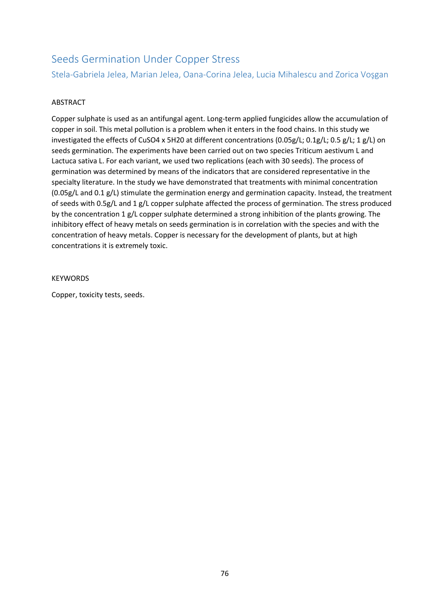### Seeds Germination Under Copper Stress

Stela-Gabriela Jelea, Marian Jelea, Oana-Corina Jelea, Lucia Mihalescu and Zorica Voşgan

### ABSTRACT

Copper sulphate is used as an antifungal agent. Long-term applied fungicides allow the accumulation of copper in soil. This metal pollution is a problem when it enters in the food chains. In this study we investigated the effects of CuSO4 x 5H20 at different concentrations (0.05g/L; 0.1g/L; 0.5 g/L; 1 g/L) on seeds germination. The experiments have been carried out on two species Triticum aestivum L and Lactuca sativa L. For each variant, we used two replications (each with 30 seeds). The process of germination was determined by means of the indicators that are considered representative in the specialty literature. In the study we have demonstrated that treatments with minimal concentration (0.05g/L and 0.1 g/L) stimulate the germination energy and germination capacity. Instead, the treatment of seeds with 0.5g/L and 1 g/L copper sulphate affected the process of germination. The stress produced by the concentration 1 g/L copper sulphate determined a strong inhibition of the plants growing. The inhibitory effect of heavy metals on seeds germination is in correlation with the species and with the concentration of heavy metals. Copper is necessary for the development of plants, but at high concentrations it is extremely toxic.

#### **KEYWORDS**

Copper, toxicity tests, seeds.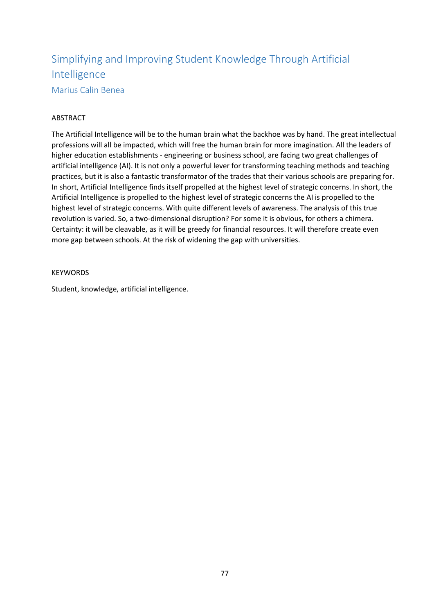# Simplifying and Improving Student Knowledge Through Artificial Intelligence

Marius Calin Benea

### ABSTRACT

The Artificial Intelligence will be to the human brain what the backhoe was by hand. The great intellectual professions will all be impacted, which will free the human brain for more imagination. All the leaders of higher education establishments - engineering or business school, are facing two great challenges of artificial intelligence (AI). It is not only a powerful lever for transforming teaching methods and teaching practices, but it is also a fantastic transformator of the trades that their various schools are preparing for. In short, Artificial Intelligence finds itself propelled at the highest level of strategic concerns. In short, the Artificial Intelligence is propelled to the highest level of strategic concerns the AI is propelled to the highest level of strategic concerns. With quite different levels of awareness. The analysis of this true revolution is varied. So, a two-dimensional disruption? For some it is obvious, for others a chimera. Certainty: it will be cleavable, as it will be greedy for financial resources. It will therefore create even more gap between schools. At the risk of widening the gap with universities.

#### **KEYWORDS**

Student, knowledge, artificial intelligence.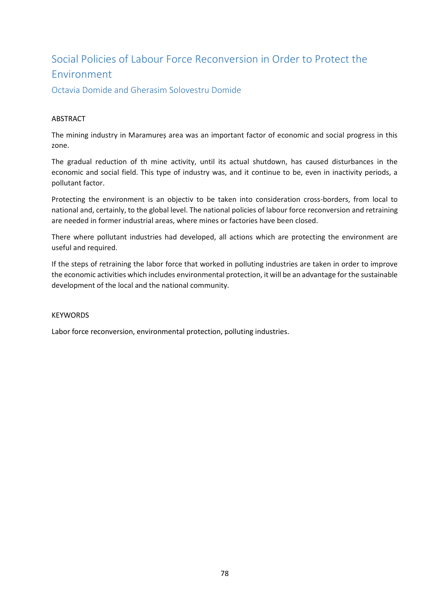# Social Policies of Labour Force Reconversion in Order to Protect the Environment

Octavia Domide and Gherasim Solovestru Domide

### ABSTRACT

The mining industry in Maramureș area was an important factor of economic and social progress in this zone.

The gradual reduction of th mine activity, until its actual shutdown, has caused disturbances in the economic and social field. This type of industry was, and it continue to be, even in inactivity periods, a pollutant factor.

Protecting the environment is an objectiv to be taken into consideration cross-borders, from local to national and, certainly, to the global level. The national policies of labour force reconversion and retraining are needed in former industrial areas, where mines or factories have been closed.

There where pollutant industries had developed, all actions which are protecting the environment are useful and required.

If the steps of retraining the labor force that worked in polluting industries are taken in order to improve the economic activities which includes environmental protection, it will be an advantage for the sustainable development of the local and the national community.

### **KEYWORDS**

Labor force reconversion, environmental protection, polluting industries.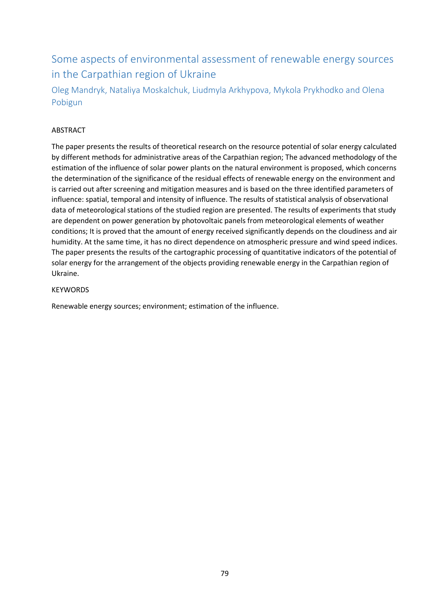## Some aspects of environmental assessment of renewable energy sources in the Carpathian region of Ukraine

Oleg Mandryk, Nataliya Moskalchuk, Liudmyla Arkhypova, Mykola Prykhodko and Olena Pobigun

### ABSTRACT

The paper presents the results of theoretical research on the resource potential of solar energy calculated by different methods for administrative areas of the Carpathian region; The advanced methodology of the estimation of the influence of solar power plants on the natural environment is proposed, which concerns the determination of the significance of the residual effects of renewable energy on the environment and is carried out after screening and mitigation measures and is based on the three identified parameters of influence: spatial, temporal and intensity of influence. The results of statistical analysis of observational data of meteorological stations of the studied region are presented. The results of experiments that study are dependent on power generation by photovoltaic panels from meteorological elements of weather conditions; It is proved that the amount of energy received significantly depends on the cloudiness and air humidity. At the same time, it has no direct dependence on atmospheric pressure and wind speed indices. The paper presents the results of the cartographic processing of quantitative indicators of the potential of solar energy for the arrangement of the objects providing renewable energy in the Carpathian region of Ukraine.

### KEYWORDS

Renewable energy sources; environment; estimation of the influence.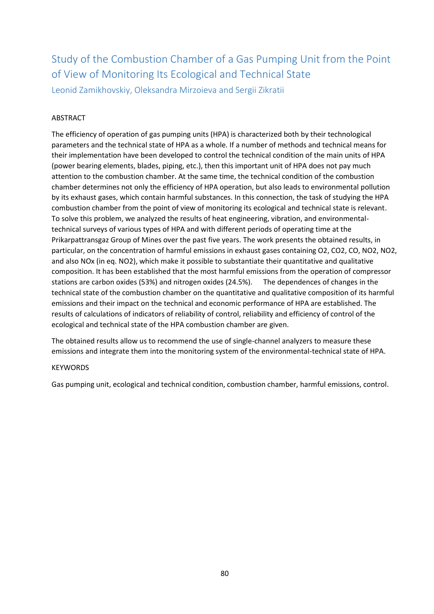# Study of the Combustion Chamber of a Gas Pumping Unit from the Point of View of Monitoring Its Ecological and Technical State

Leonid Zamikhovskiy, Oleksandra Mirzoieva and Sergii Zikratii

### ABSTRACT

The efficiency of operation of gas pumping units (HPA) is characterized both by their technological parameters and the technical state of HPA as a whole. If a number of methods and technical means for their implementation have been developed to control the technical condition of the main units of HPA (power bearing elements, blades, piping, etc.), then this important unit of HPA does not pay much attention to the combustion chamber. At the same time, the technical condition of the combustion chamber determines not only the efficiency of HPA operation, but also leads to environmental pollution by its exhaust gases, which contain harmful substances. In this connection, the task of studying the HPA combustion chamber from the point of view of monitoring its ecological and technical state is relevant. To solve this problem, we analyzed the results of heat engineering, vibration, and environmentaltechnical surveys of various types of HPA and with different periods of operating time at the Prikarpattransgaz Group of Mines over the past five years. The work presents the obtained results, in particular, on the concentration of harmful emissions in exhaust gases containing O2, CO2, CO, NO2, NO2, and also NOx (in eq. NO2), which make it possible to substantiate their quantitative and qualitative composition. It has been established that the most harmful emissions from the operation of compressor stations are carbon oxides (53%) and nitrogen oxides (24.5%). The dependences of changes in the technical state of the combustion chamber on the quantitative and qualitative composition of its harmful emissions and their impact on the technical and economic performance of HPA are established. The results of calculations of indicators of reliability of control, reliability and efficiency of control of the ecological and technical state of the HPA combustion chamber are given.

The obtained results allow us to recommend the use of single-channel analyzers to measure these emissions and integrate them into the monitoring system of the environmental-technical state of HPA.

### KEYWORDS

Gas pumping unit, ecological and technical condition, combustion chamber, harmful emissions, control.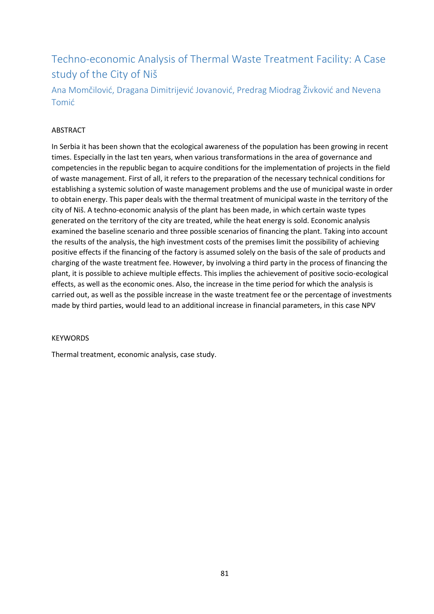# Techno-economic Analysis of Thermal Waste Treatment Facility: A Case study of the City of Niš

Ana Momčilović, Dragana Dimitrijević Jovanović, Predrag Miodrag Živković and Nevena Tomić

#### ABSTRACT

In Serbia it has been shown that the ecological awareness of the population has been growing in recent times. Especially in the last ten years, when various transformations in the area of governance and competencies in the republic began to acquire conditions for the implementation of projects in the field of waste management. First of all, it refers to the preparation of the necessary technical conditions for establishing a systemic solution of waste management problems and the use of municipal waste in order to obtain energy. This paper deals with the thermal treatment of municipal waste in the territory of the city of Niš. A techno-economic analysis of the plant has been made, in which certain waste types generated on the territory of the city are treated, while the heat energy is sold. Economic analysis examined the baseline scenario and three possible scenarios of financing the plant. Taking into account the results of the analysis, the high investment costs of the premises limit the possibility of achieving positive effects if the financing of the factory is assumed solely on the basis of the sale of products and charging of the waste treatment fee. However, by involving a third party in the process of financing the plant, it is possible to achieve multiple effects. This implies the achievement of positive socio-ecological effects, as well as the economic ones. Also, the increase in the time period for which the analysis is carried out, as well as the possible increase in the waste treatment fee or the percentage of investments made by third parties, would lead to an additional increase in financial parameters, in this case NPV

#### **KEYWORDS**

Thermal treatment, economic analysis, case study.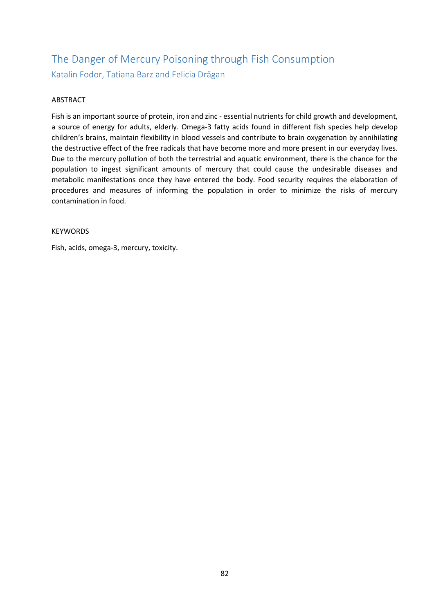# The Danger of Mercury Poisoning through Fish Consumption Katalin Fodor, Tatiana Barz and Felicia Drăgan

### ABSTRACT

Fish is an important source of protein, iron and zinc - essential nutrients for child growth and development, a source of energy for adults, elderly. Omega-3 fatty acids found in different fish species help develop children's brains, maintain flexibility in blood vessels and contribute to brain oxygenation by annihilating the destructive effect of the free radicals that have become more and more present in our everyday lives. Due to the mercury pollution of both the terrestrial and aquatic environment, there is the chance for the population to ingest significant amounts of mercury that could cause the undesirable diseases and metabolic manifestations once they have entered the body. Food security requires the elaboration of procedures and measures of informing the population in order to minimize the risks of mercury contamination in food.

#### KEYWORDS

Fish, acids, omega-3, mercury, toxicity.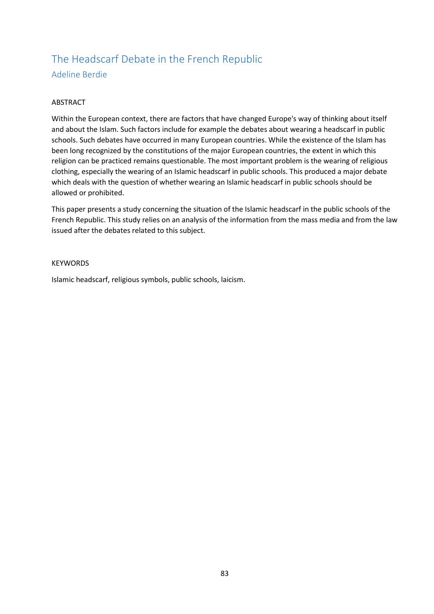### The Headscarf Debate in the French Republic Adeline Berdie

#### ABSTRACT

Within the European context, there are factors that have changed Europe's way of thinking about itself and about the Islam. Such factors include for example the debates about wearing a headscarf in public schools. Such debates have occurred in many European countries. While the existence of the Islam has been long recognized by the constitutions of the major European countries, the extent in which this religion can be practiced remains questionable. The most important problem is the wearing of religious clothing, especially the wearing of an Islamic headscarf in public schools. This produced a major debate which deals with the question of whether wearing an Islamic headscarf in public schools should be allowed or prohibited.

This paper presents a study concerning the situation of the Islamic headscarf in the public schools of the French Republic. This study relies on an analysis of the information from the mass media and from the law issued after the debates related to this subject.

#### **KEYWORDS**

Islamic headscarf, religious symbols, public schools, laicism.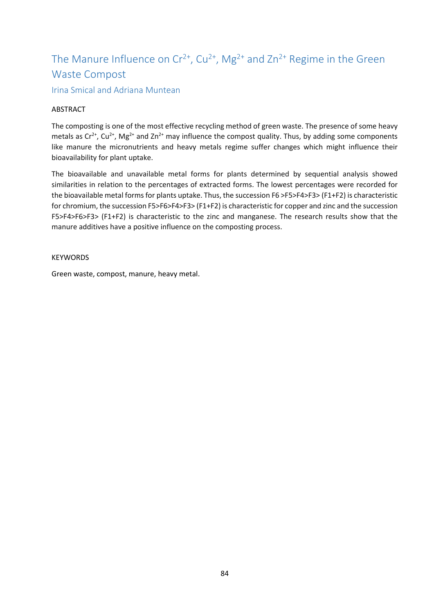# The Manure Influence on  $Cr^{2+}$ ,  $Cu^{2+}$ , Mg<sup>2+</sup> and  $Zn^{2+}$  Regime in the Green Waste Compost

Irina Smical and Adriana Muntean

### **ABSTRACT**

The composting is one of the most effective recycling method of green waste. The presence of some heavy metals as  $Cr^{2+}$ ,  $Cu^{2+}$ , Mg<sup>2+</sup> and Zn<sup>2+</sup> may influence the compost quality. Thus, by adding some components like manure the micronutrients and heavy metals regime suffer changes which might influence their bioavailability for plant uptake.

The bioavailable and unavailable metal forms for plants determined by sequential analysis showed similarities in relation to the percentages of extracted forms. The lowest percentages were recorded for the bioavailable metal forms for plants uptake. Thus, the succession F6 >F5>F4>F3> (F1+F2) is characteristic for chromium, the succession F5>F6>F4>F3> (F1+F2) is characteristic for copper and zinc and the succession F5>F4>F6>F3> (F1+F2) is characteristic to the zinc and manganese. The research results show that the manure additives have a positive influence on the composting process.

**KEYWORDS** 

Green waste, compost, manure, heavy metal.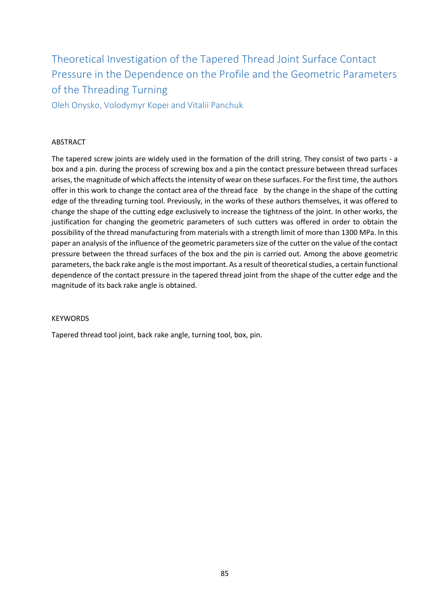Theoretical Investigation of the Tapered Thread Joint Surface Contact Pressure in the Dependence on the Profile and the Geometric Parameters of the Threading Turning

Oleh Onysko, Volodymyr Kopei and Vitalii Panchuk

#### ABSTRACT

The tapered screw joints are widely used in the formation of the drill string. They consist of two parts - a box and a pin. during the process of screwing box and a pin the contact pressure between thread surfaces arises, the magnitude of which affects the intensity of wear on these surfaces. For the first time, the authors offer in this work to change the contact area of the thread face by the change in the shape of the cutting edge of the threading turning tool. Previously, in the works of these authors themselves, it was offered to change the shape of the cutting edge exclusively to increase the tightness of the joint. In other works, the justification for changing the geometric parameters of such cutters was offered in order to obtain the possibility of the thread manufacturing from materials with a strength limit of more than 1300 MPa. In this paper an analysis of the influence of the geometric parameters size of the cutter on the value of the contact pressure between the thread surfaces of the box and the pin is carried out. Among the above geometric parameters, the back rake angle is the most important. As a result of theoretical studies, a certain functional dependence of the contact pressure in the tapered thread joint from the shape of the cutter edge and the magnitude of its back rake angle is obtained.

#### **KEYWORDS**

Tapered thread tool joint, back rake angle, turning tool, box, pin.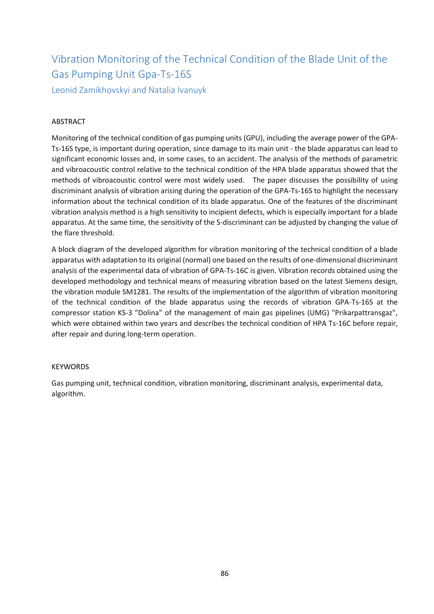# Vibration Monitoring of the Technical Condition of the Blade Unit of the Gas Pumping Unit Gpa-Ts-16S

Leonid Zamikhovskyi and Natalia Ivanuyk

### ABSTRACT

Monitoring of the technical condition of gas pumping units (GPU), including the average power of the GPA-Ts-16S type, is important during operation, since damage to its main unit - the blade apparatus can lead to significant economic losses and, in some cases, to an accident. The analysis of the methods of parametric and vibroacoustic control relative to the technical condition of the HPA blade apparatus showed that the methods of vibroacoustic control were most widely used. The paper discusses the possibility of using discriminant analysis of vibration arising during the operation of the GPA-Ts-16S to highlight the necessary information about the technical condition of its blade apparatus. One of the features of the discriminant vibration analysis method is a high sensitivity to incipient defects, which is especially important for a blade apparatus. At the same time, the sensitivity of the S-discriminant can be adjusted by changing the value of the flare threshold.

A block diagram of the developed algorithm for vibration monitoring of the technical condition of a blade apparatus with adaptation to its original (normal) one based on the results of one-dimensional discriminant analysis of the experimental data of vibration of GPA-Ts-16C is given. Vibration records obtained using the developed methodology and technical means of measuring vibration based on the latest Siemens design, the vibration module SM1281. The results of the implementation of the algorithm of vibration monitoring of the technical condition of the blade apparatus using the records of vibration GPA-Ts-16S at the compressor station KS-3 "Dolina" of the management of main gas pipelines (UMG) "Prikarpattransgaz", which were obtained within two years and describes the technical condition of HPA Ts-16C before repair, after repair and during long-term operation.

### KEYWORDS

Gas pumping unit, technical condition, vibration monitoring, discriminant analysis, experimental data, algorithm.